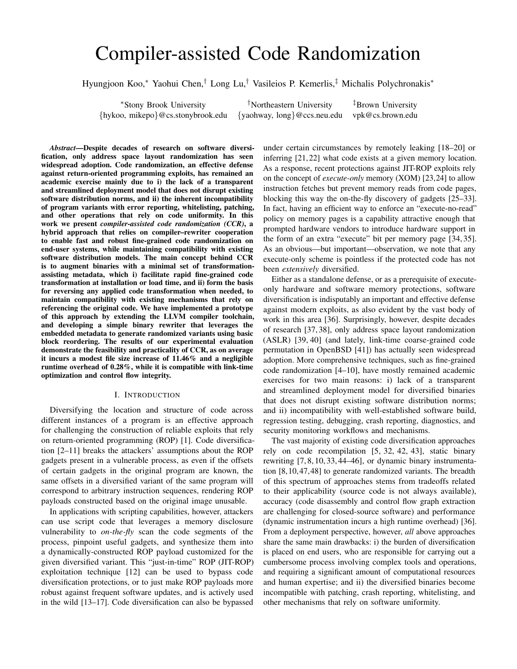# Compiler-assisted Code Randomization

Hyungjoon Koo,<sup>∗</sup> Yaohui Chen,† Long Lu,† Vasileios P. Kemerlis,‡ Michalis Polychronakis<sup>∗</sup>

{hykoo, mikepo}@cs.stonybrook.edu {yaohway, long}@ccs.neu.edu vpk@cs.brown.edu

<sup>∗</sup>Stony Brook University †Northeastern University ‡Brown University

*Abstract*—Despite decades of research on software diversification, only address space layout randomization has seen widespread adoption. Code randomization, an effective defense against return-oriented programming exploits, has remained an academic exercise mainly due to i) the lack of a transparent and streamlined deployment model that does not disrupt existing software distribution norms, and ii) the inherent incompatibility of program variants with error reporting, whitelisting, patching, and other operations that rely on code uniformity. In this work we present *compiler-assisted code randomization (CCR)*, a hybrid approach that relies on compiler–rewriter cooperation to enable fast and robust fine-grained code randomization on end-user systems, while maintaining compatibility with existing software distribution models. The main concept behind CCR is to augment binaries with a minimal set of transformationassisting metadata, which i) facilitate rapid fine-grained code transformation at installation or load time, and ii) form the basis for reversing any applied code transformation when needed, to maintain compatibility with existing mechanisms that rely on referencing the original code. We have implemented a prototype of this approach by extending the LLVM compiler toolchain, and developing a simple binary rewriter that leverages the embedded metadata to generate randomized variants using basic block reordering. The results of our experimental evaluation demonstrate the feasibility and practicality of CCR, as on average it incurs a modest file size increase of 11.46% and a negligible runtime overhead of 0.28%, while it is compatible with link-time optimization and control flow integrity.

#### I. INTRODUCTION

Diversifying the location and structure of code across different instances of a program is an effective approach for challenging the construction of reliable exploits that rely on return-oriented programming (ROP) [\[1\]](#page-13-0). Code diversification [\[2](#page-13-1)[–11\]](#page-13-2) breaks the attackers' assumptions about the ROP gadgets present in a vulnerable process, as even if the offsets of certain gadgets in the original program are known, the same offsets in a diversified variant of the same program will correspond to arbitrary instruction sequences, rendering ROP payloads constructed based on the original image unusable.

In applications with scripting capabilities, however, attackers can use script code that leverages a memory disclosure vulnerability to *on-the-fly* scan the code segments of the process, pinpoint useful gadgets, and synthesize them into a dynamically-constructed ROP payload customized for the given diversified variant. This "just-in-time" ROP (JIT-ROP) exploitation technique [\[12\]](#page-13-3) can be used to bypass code diversification protections, or to just make ROP payloads more robust against frequent software updates, and is actively used in the wild [\[13–](#page-13-4)[17\]](#page-13-5). Code diversification can also be bypassed under certain circumstances by remotely leaking [\[18](#page-13-6)[–20\]](#page-13-7) or inferring [\[21,](#page-13-8) [22\]](#page-13-9) what code exists at a given memory location. As a response, recent protections against JIT-ROP exploits rely on the concept of *execute-only* memory (XOM) [\[23](#page-13-10)[,24\]](#page-13-11) to allow instruction fetches but prevent memory reads from code pages, blocking this way the on-the-fly discovery of gadgets [\[25](#page-13-12)[–33\]](#page-13-13). In fact, having an efficient way to enforce an "execute-no-read" policy on memory pages is a capability attractive enough that prompted hardware vendors to introduce hardware support in the form of an extra "execute" bit per memory page [\[34,](#page-13-14) [35\]](#page-13-15). As an obvious—but important—observation, we note that any execute-only scheme is pointless if the protected code has not been *extensively* diversified.

Either as a standalone defense, or as a prerequisite of executeonly hardware and software memory protections, software diversification is indisputably an important and effective defense against modern exploits, as also evident by the vast body of work in this area [\[36\]](#page-13-16). Surprisingly, however, despite decades of research [\[37,](#page-13-17) [38\]](#page-13-18), only address space layout randomization (ASLR) [\[39,](#page-13-19) [40\]](#page-13-20) (and lately, link-time coarse-grained code permutation in OpenBSD [\[41\]](#page-13-21)) has actually seen widespread adoption. More comprehensive techniques, such as fine-grained code randomization [\[4](#page-13-22)[–10\]](#page-13-23), have mostly remained academic exercises for two main reasons: i) lack of a transparent and streamlined deployment model for diversified binaries that does not disrupt existing software distribution norms; and ii) incompatibility with well-established software build, regression testing, debugging, crash reporting, diagnostics, and security monitoring workflows and mechanisms.

The vast majority of existing code diversification approaches rely on code recompilation [\[5,](#page-13-24) [32,](#page-13-25) [42,](#page-13-26) [43\]](#page-14-0), static binary rewriting [\[7,](#page-13-27) [8,](#page-13-28) [10,](#page-13-23) [33,](#page-13-13) [44–](#page-14-1)[46\]](#page-14-2), or dynamic binary instrumentation [\[8,](#page-13-28)[10,](#page-13-23)[47,](#page-14-3)[48\]](#page-14-4) to generate randomized variants. The breadth of this spectrum of approaches stems from tradeoffs related to their applicability (source code is not always available), accuracy (code disassembly and control flow graph extraction are challenging for closed-source software) and performance (dynamic instrumentation incurs a high runtime overhead) [\[36\]](#page-13-16). From a deployment perspective, however, *all* above approaches share the same main drawbacks: i) the burden of diversification is placed on end users, who are responsible for carrying out a cumbersome process involving complex tools and operations, and requiring a significant amount of computational resources and human expertise; and ii) the diversified binaries become incompatible with patching, crash reporting, whitelisting, and other mechanisms that rely on software uniformity.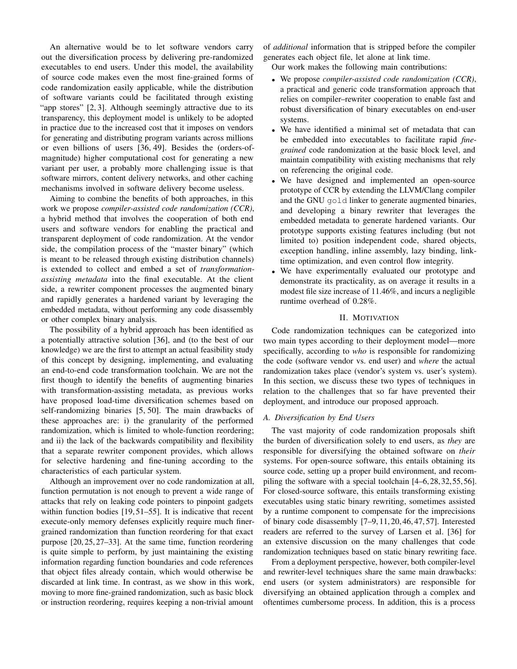An alternative would be to let software vendors carry out the diversification process by delivering pre-randomized executables to end users. Under this model, the availability of source code makes even the most fine-grained forms of code randomization easily applicable, while the distribution of software variants could be facilitated through existing "app stores" [\[2,](#page-13-1)3]. Although seemingly attractive due to its transparency, this deployment model is unlikely to be adopted in practice due to the increased cost that it imposes on vendors for generating and distributing program variants across millions or even billions of users [\[36,](#page-13-16) [49\]](#page-14-5). Besides the (orders-ofmagnitude) higher computational cost for generating a new variant per user, a probably more challenging issue is that software mirrors, content delivery networks, and other caching mechanisms involved in software delivery become useless.

Aiming to combine the benefits of both approaches, in this work we propose *compiler-assisted code randomization (CCR)*, a hybrid method that involves the cooperation of both end users and software vendors for enabling the practical and transparent deployment of code randomization. At the vendor side, the compilation process of the "master binary" (which is meant to be released through existing distribution channels) is extended to collect and embed a set of *transformationassisting metadata* into the final executable. At the client side, a rewriter component processes the augmented binary and rapidly generates a hardened variant by leveraging the embedded metadata, without performing any code disassembly or other complex binary analysis.

The possibility of a hybrid approach has been identified as a potentially attractive solution [\[36\]](#page-13-16), and (to the best of our knowledge) we are the first to attempt an actual feasibility study of this concept by designing, implementing, and evaluating an end-to-end code transformation toolchain. We are not the first though to identify the benefits of augmenting binaries with transformation-assisting metadata, as previous works have proposed load-time diversification schemes based on self-randomizing binaries [\[5,](#page-13-24) [50\]](#page-14-6). The main drawbacks of these approaches are: i) the granularity of the performed randomization, which is limited to whole-function reordering; and ii) the lack of the backwards compatibility and flexibility that a separate rewriter component provides, which allows for selective hardening and fine-tuning according to the characteristics of each particular system.

Although an improvement over no code randomization at all, function permutation is not enough to prevent a wide range of attacks that rely on leaking code pointers to pinpoint gadgets within function bodies [\[19,](#page-13-30) [51–](#page-14-7)[55\]](#page-14-8). It is indicative that recent execute-only memory defenses explicitly require much finergrained randomization than function reordering for that exact purpose [\[20,](#page-13-7) [25,](#page-13-12) [27–](#page-13-31)[33\]](#page-13-13). At the same time, function reordering is quite simple to perform, by just maintaining the existing information regarding function boundaries and code references that object files already contain, which would otherwise be discarded at link time. In contrast, as we show in this work, moving to more fine-grained randomization, such as basic block or instruction reordering, requires keeping a non-trivial amount

of *additional* information that is stripped before the compiler generates each object file, let alone at link time.

Our work makes the following main contributions:

- We propose *compiler-assisted code randomization (CCR)*, a practical and generic code transformation approach that relies on compiler–rewriter cooperation to enable fast and robust diversification of binary executables on end-user systems.
- We have identified a minimal set of metadata that can be embedded into executables to facilitate rapid *finegrained* code randomization at the basic block level, and maintain compatibility with existing mechanisms that rely on referencing the original code.
- We have designed and implemented an open-source prototype of CCR by extending the LLVM/Clang compiler and the GNU gold linker to generate augmented binaries, and developing a binary rewriter that leverages the embedded metadata to generate hardened variants. Our prototype supports existing features including (but not limited to) position independent code, shared objects, exception handling, inline assembly, lazy binding, linktime optimization, and even control flow integrity.
- We have experimentally evaluated our prototype and demonstrate its practicality, as on average it results in a modest file size increase of 11.46%, and incurs a negligible runtime overhead of 0.28%.

# II. MOTIVATION

Code randomization techniques can be categorized into two main types according to their deployment model—more specifically, according to *who* is responsible for randomizing the code (software vendor vs. end user) and *where* the actual randomization takes place (vendor's system vs. user's system). In this section, we discuss these two types of techniques in relation to the challenges that so far have prevented their deployment, and introduce our proposed approach.

# <span id="page-1-0"></span>*A. Diversification by End Users*

The vast majority of code randomization proposals shift the burden of diversification solely to end users, as *they* are responsible for diversifying the obtained software on *their* systems. For open-source software, this entails obtaining its source code, setting up a proper build environment, and recompiling the software with a special toolchain [\[4](#page-13-22)[–6,](#page-13-32) [28,](#page-13-33) [32,](#page-13-25) [55,](#page-14-8) [56\]](#page-14-9). For closed-source software, this entails transforming existing executables using static binary rewriting, sometimes assisted by a runtime component to compensate for the imprecisions of binary code disassembly [\[7–](#page-13-27)[9,](#page-13-34) [11,](#page-13-2) [20,](#page-13-7) [46,](#page-14-2) [47,](#page-14-3) [57\]](#page-14-10). Interested readers are referred to the survey of Larsen et al. [\[36\]](#page-13-16) for an extensive discussion on the many challenges that code randomization techniques based on static binary rewriting face.

From a deployment perspective, however, both compiler-level and rewriter-level techniques share the same main drawbacks: end users (or system administrators) are responsible for diversifying an obtained application through a complex and oftentimes cumbersome process. In addition, this is a process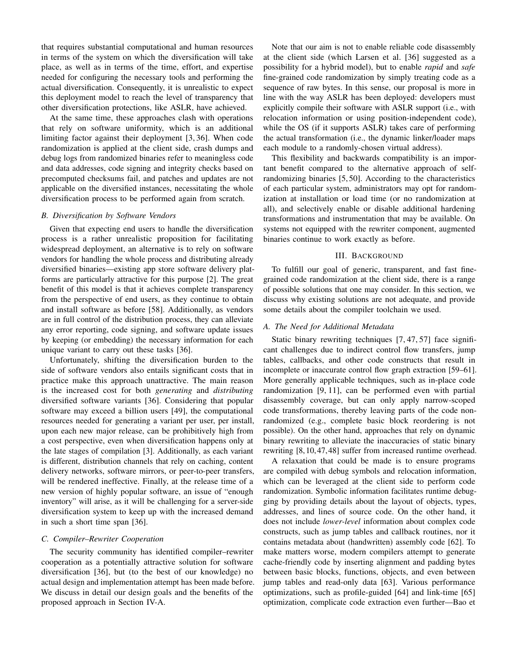that requires substantial computational and human resources in terms of the system on which the diversification will take place, as well as in terms of the time, effort, and expertise needed for configuring the necessary tools and performing the actual diversification. Consequently, it is unrealistic to expect this deployment model to reach the level of transparency that other diversification protections, like ASLR, have achieved.

At the same time, these approaches clash with operations that rely on software uniformity, which is an additional limiting factor against their deployment [\[3,](#page-13-29) [36\]](#page-13-16). When code randomization is applied at the client side, crash dumps and debug logs from randomized binaries refer to meaningless code and data addresses, code signing and integrity checks based on precomputed checksums fail, and patches and updates are not applicable on the diversified instances, necessitating the whole diversification process to be performed again from scratch.

#### *B. Diversification by Software Vendors*

Given that expecting end users to handle the diversification process is a rather unrealistic proposition for facilitating widespread deployment, an alternative is to rely on software vendors for handling the whole process and distributing already diversified binaries—existing app store software delivery platforms are particularly attractive for this purpose [\[2\]](#page-13-1). The great benefit of this model is that it achieves complete transparency from the perspective of end users, as they continue to obtain and install software as before [\[58\]](#page-14-11). Additionally, as vendors are in full control of the distribution process, they can alleviate any error reporting, code signing, and software update issues by keeping (or embedding) the necessary information for each unique variant to carry out these tasks [\[36\]](#page-13-16).

Unfortunately, shifting the diversification burden to the side of software vendors also entails significant costs that in practice make this approach unattractive. The main reason is the increased cost for both *generating* and *distributing* diversified software variants [\[36\]](#page-13-16). Considering that popular software may exceed a billion users [\[49\]](#page-14-5), the computational resources needed for generating a variant per user, per install, upon each new major release, can be prohibitively high from a cost perspective, even when diversification happens only at the late stages of compilation [\[3\]](#page-13-29). Additionally, as each variant is different, distribution channels that rely on caching, content delivery networks, software mirrors, or peer-to-peer transfers, will be rendered ineffective. Finally, at the release time of a new version of highly popular software, an issue of "enough inventory" will arise, as it will be challenging for a server-side diversification system to keep up with the increased demand in such a short time span [\[36\]](#page-13-16).

## *C. Compiler–Rewriter Cooperation*

The security community has identified compiler–rewriter cooperation as a potentially attractive solution for software diversification [\[36\]](#page-13-16), but (to the best of our knowledge) no actual design and implementation attempt has been made before. We discuss in detail our design goals and the benefits of the proposed approach in Section [IV-A.](#page-3-0)

Note that our aim is not to enable reliable code disassembly at the client side (which Larsen et al. [\[36\]](#page-13-16) suggested as a possibility for a hybrid model), but to enable *rapid* and *safe* fine-grained code randomization by simply treating code as a sequence of raw bytes. In this sense, our proposal is more in line with the way ASLR has been deployed: developers must explicitly compile their software with ASLR support (i.e., with relocation information or using position-independent code), while the OS (if it supports ASLR) takes care of performing the actual transformation (i.e., the dynamic linker/loader maps each module to a randomly-chosen virtual address).

This flexibility and backwards compatibility is an important benefit compared to the alternative approach of selfrandomizing binaries [\[5,](#page-13-24) [50\]](#page-14-6). According to the characteristics of each particular system, administrators may opt for randomization at installation or load time (or no randomization at all), and selectively enable or disable additional hardening transformations and instrumentation that may be available. On systems not equipped with the rewriter component, augmented binaries continue to work exactly as before.

#### III. BACKGROUND

To fulfill our goal of generic, transparent, and fast finegrained code randomization at the client side, there is a range of possible solutions that one may consider. In this section, we discuss why existing solutions are not adequate, and provide some details about the compiler toolchain we used.

#### *A. The Need for Additional Metadata*

Static binary rewriting techniques [\[7,](#page-13-27) [47,](#page-14-3) [57\]](#page-14-10) face significant challenges due to indirect control flow transfers, jump tables, callbacks, and other code constructs that result in incomplete or inaccurate control flow graph extraction [\[59](#page-14-12)[–61\]](#page-14-13). More generally applicable techniques, such as in-place code randomization [\[9,](#page-13-34) [11\]](#page-13-2), can be performed even with partial disassembly coverage, but can only apply narrow-scoped code transformations, thereby leaving parts of the code nonrandomized (e.g., complete basic block reordering is not possible). On the other hand, approaches that rely on dynamic binary rewriting to alleviate the inaccuracies of static binary rewriting [\[8,](#page-13-28) [10,](#page-13-23) [47,](#page-14-3) [48\]](#page-14-4) suffer from increased runtime overhead.

A relaxation that could be made is to ensure programs are compiled with debug symbols and relocation information, which can be leveraged at the client side to perform code randomization. Symbolic information facilitates runtime debugging by providing details about the layout of objects, types, addresses, and lines of source code. On the other hand, it does not include *lower-level* information about complex code constructs, such as jump tables and callback routines, nor it contains metadata about (handwritten) assembly code [\[62\]](#page-14-14). To make matters worse, modern compilers attempt to generate cache-friendly code by inserting alignment and padding bytes between basic blocks, functions, objects, and even between jump tables and read-only data [\[63\]](#page-14-15). Various performance optimizations, such as profile-guided [\[64\]](#page-14-16) and link-time [\[65\]](#page-14-17) optimization, complicate code extraction even further—Bao et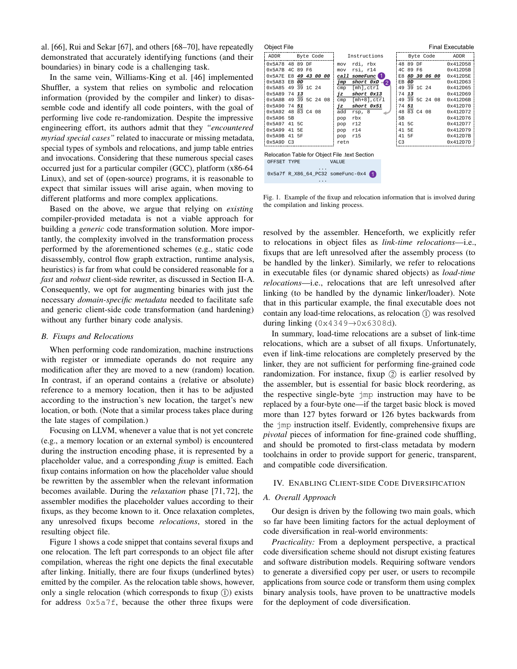al. [\[66\]](#page-14-18), Rui and Sekar [\[67\]](#page-14-19), and others [\[68](#page-14-20)[–70\]](#page-14-21), have repeatedly demonstrated that accurately identifying functions (and their boundaries) in binary code is a challenging task.

In the same vein, Williams-King et al. [\[46\]](#page-14-2) implemented Shuffler, a system that relies on symbolic and relocation information (provided by the compiler and linker) to disassemble code and identify all code pointers, with the goal of performing live code re-randomization. Despite the impressive engineering effort, its authors admit that they *"encountered myriad special cases"* related to inaccurate or missing metadata, special types of symbols and relocations, and jump table entries and invocations. Considering that these numerous special cases occurred just for a particular compiler (GCC), platform (x86-64 Linux), and set of (open-source) programs, it is reasonable to expect that similar issues will arise again, when moving to different platforms and more complex applications.

Based on the above, we argue that relying on *existing* compiler-provided metadata is not a viable approach for building a *generic* code transformation solution. More importantly, the complexity involved in the transformation process performed by the aforementioned schemes (e.g., static code disassembly, control flow graph extraction, runtime analysis, heuristics) is far from what could be considered reasonable for a *fast* and *robust* client-side rewriter, as discussed in Section [II-A.](#page-1-0) Consequently, we opt for augmenting binaries with just the necessary *domain-specific metadata* needed to facilitate safe and generic client-side code transformation (and hardening) without any further binary code analysis.

### <span id="page-3-2"></span>*B. Fixups and Relocations*

When performing code randomization, machine instructions with register or immediate operands do not require any modification after they are moved to a new (random) location. In contrast, if an operand contains a (relative or absolute) reference to a memory location, then it has to be adjusted according to the instruction's new location, the target's new location, or both. (Note that a similar process takes place during the late stages of compilation.)

Focusing on LLVM, whenever a value that is not yet concrete (e.g., a memory location or an external symbol) is encountered during the instruction encoding phase, it is represented by a placeholder value, and a corresponding *fixup* is emitted. Each fixup contains information on how the placeholder value should be rewritten by the assembler when the relevant information becomes available. During the *relaxation* phase [\[71,](#page-14-22) [72\]](#page-14-23), the assembler modifies the placeholder values according to their fixups, as they become known to it. Once relaxation completes, any unresolved fixups become *relocations*, stored in the resulting object file.

Figure [1](#page-3-1) shows a code snippet that contains several fixups and one relocation. The left part corresponds to an object file after compilation, whereas the right one depicts the final executable after linking. Initially, there are four fixups (underlined bytes) emitted by the compiler. As the relocation table shows, however, only a single relocation (which corresponds to fixup  $(1)$ ) exists for address 0x5a7f, because the other three fixups were

| <b>Object File</b>                             |                          | <b>Final Executable</b>              |             |  |  |
|------------------------------------------------|--------------------------|--------------------------------------|-------------|--|--|
| ADDR<br>Byte Code                              | Instructions             | Byte Code                            | <b>ADDR</b> |  |  |
| 0x5A78 48 89 DF                                | rdi, rbx<br>mov          | 48 89 DF<br>0x412D58                 |             |  |  |
| 0x5A7B 4C 89 F6                                | rsi, r14<br>mov          | 89 F6<br>0x412D5B<br>4C              |             |  |  |
| 0x5A7E E8 49 43 00 00                          | call someFunc            | E8<br>0x412D5E<br><i>8D 30 06 00</i> |             |  |  |
| 0x5A83 EB OD                                   | short $0xD - 2$<br>jmp   | 0x412D63<br>EB OD                    |             |  |  |
| 0x5A85 49 39 1C 24                             | [mh], ctr1<br>cmp        | 49 39 1C 24<br>0x412D65              |             |  |  |
| 0x5A89 74 13                                   | short 0x13<br>jz         | 0x412D69<br>74 13                    |             |  |  |
| 0x5A8B 49 39 5C 24 08                          | $[mh+8]$ , $ctr1$<br>cmp | 49 39 5C 24 08<br>0x412D6B           |             |  |  |
| 0x5A90<br>74 51                                | jz __<br>short 0x51      | 74 51<br>0x412D70                    |             |  |  |
| 0x5A92 48 83 C4 08                             | add<br>rsp, 8            | 48 83 C4 08<br>0x412D72              |             |  |  |
| 0x5A965B                                       | rbx<br>pop               | 5 <sub>B</sub><br>0x412D76           |             |  |  |
| 0x5A97 41 5C                                   | r12<br>pop               | 0x412D77<br>41 5C                    |             |  |  |
| 0x5A99 41 5E                                   | r14<br>pop               | 41 5E<br>0x412D79                    |             |  |  |
| 0x5A9B 41 5F                                   | r15<br>pop               | 41 5F<br>0x412D7B                    |             |  |  |
| 0x5A9D C3                                      | retn                     | C <sub>3</sub><br>0x412D7D           |             |  |  |
| Relocation Table for Object File .text Section |                          |                                      |             |  |  |
| OFFSET TYPE                                    | VALUE                    |                                      |             |  |  |
| $0x5a7f$ R_X86_64_PC32 someFunc-0x4 $(1)$<br>. |                          |                                      |             |  |  |

<span id="page-3-1"></span>Fig. 1. Example of the fixup and relocation information that is involved during the compilation and linking process.

resolved by the assembler. Henceforth, we explicitly refer to relocations in object files as *link-time relocations*—i.e., fixups that are left unresolved after the assembly process (to be handled by the linker). Similarly, we refer to relocations in executable files (or dynamic shared objects) as *load-time relocations*—i.e., relocations that are left unresolved after linking (to be handled by the dynamic linker/loader). Note that in this particular example, the final executable does not contain any load-time relocations, as relocation  $(1)$  was resolved during linking  $(0x4349 \rightarrow 0x6308d)$ .

In summary, load-time relocations are a subset of link-time relocations, which are a subset of all fixups. Unfortunately, even if link-time relocations are completely preserved by the linker, they are not sufficient for performing fine-grained code randomization. For instance, fixup  $(2)$  is earlier resolved by the assembler, but is essential for basic block reordering, as the respective single-byte jmp instruction may have to be replaced by a four-byte one—if the target basic block is moved more than 127 bytes forward or 126 bytes backwards from the jmp instruction itself. Evidently, comprehensive fixups are *pivotal* pieces of information for fine-grained code shuffling, and should be promoted to first-class metadata by modern toolchains in order to provide support for generic, transparent, and compatible code diversification.

# IV. ENABLING CLIENT-SIDE CODE DIVERSIFICATION

# <span id="page-3-0"></span>*A. Overall Approach*

Our design is driven by the following two main goals, which so far have been limiting factors for the actual deployment of code diversification in real-world environments:

*Practicality:* From a deployment perspective, a practical code diversification scheme should not disrupt existing features and software distribution models. Requiring software vendors to generate a diversified copy per user, or users to recompile applications from source code or transform them using complex binary analysis tools, have proven to be unattractive models for the deployment of code diversification.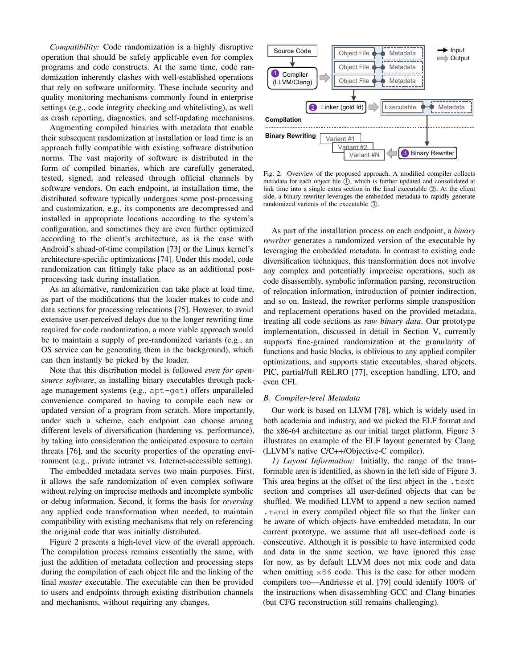*Compatibility:* Code randomization is a highly disruptive operation that should be safely applicable even for complex programs and code constructs. At the same time, code randomization inherently clashes with well-established operations that rely on software uniformity. These include security and quality monitoring mechanisms commonly found in enterprise settings (e.g., code integrity checking and whitelisting), as well as crash reporting, diagnostics, and self-updating mechanisms.

Augmenting compiled binaries with metadata that enable their subsequent randomization at installation or load time is an approach fully compatible with existing software distribution norms. The vast majority of software is distributed in the form of compiled binaries, which are carefully generated, tested, signed, and released through official channels by software vendors. On each endpoint, at installation time, the distributed software typically undergoes some post-processing and customization, e.g., its components are decompressed and installed in appropriate locations according to the system's configuration, and sometimes they are even further optimized according to the client's architecture, as is the case with Android's ahead-of-time compilation [\[73\]](#page-14-24) or the Linux kernel's architecture-specific optimizations [\[74\]](#page-14-25). Under this model, code randomization can fittingly take place as an additional postprocessing task during installation.

As an alternative, randomization can take place at load time, as part of the modifications that the loader makes to code and data sections for processing relocations [\[75\]](#page-14-26). However, to avoid extensive user-perceived delays due to the longer rewriting time required for code randomization, a more viable approach would be to maintain a supply of pre-randomized variants (e.g., an OS service can be generating them in the background), which can then instantly be picked by the loader.

Note that this distribution model is followed *even for opensource software*, as installing binary executables through package management systems (e.g., apt-get) offers unparalleled convenience compared to having to compile each new or updated version of a program from scratch. More importantly, under such a scheme, each endpoint can choose among different levels of diversification (hardening vs. performance), by taking into consideration the anticipated exposure to certain threats [\[76\]](#page-14-27), and the security properties of the operating environment (e.g., private intranet vs. Internet-accessible setting).

The embedded metadata serves two main purposes. First, it allows the safe randomization of even complex software without relying on imprecise methods and incomplete symbolic or debug information. Second, it forms the basis for *reversing* any applied code transformation when needed, to maintain compatibility with existing mechanisms that rely on referencing the original code that was initially distributed.

Figure [2](#page-4-0) presents a high-level view of the overall approach. The compilation process remains essentially the same, with just the addition of metadata collection and processing steps during the compilation of each object file and the linking of the final *master* executable. The executable can then be provided to users and endpoints through existing distribution channels and mechanisms, without requiring any changes.



<span id="page-4-0"></span>Fig. 2. Overview of the proposed approach. A modified compiler collects metadata for each object file (I), which is further updated and consolidated at link time into a single extra section in the final executable  $(2)$ . At the client side, a binary rewriter leverages the embedded metadata to rapidly generate randomized variants of the executable  $\circled{3}$ .

As part of the installation process on each endpoint, a *binary rewriter* generates a randomized version of the executable by leveraging the embedded metadata. In contrast to existing code diversification techniques, this transformation does not involve any complex and potentially imprecise operations, such as code disassembly, symbolic information parsing, reconstruction of relocation information, introduction of pointer indirection, and so on. Instead, the rewriter performs simple transposition and replacement operations based on the provided metadata, treating all code sections as *raw binary data*. Our prototype implementation, discussed in detail in Section [V,](#page-8-0) currently supports fine-grained randomization at the granularity of functions and basic blocks, is oblivious to any applied compiler optimizations, and supports static executables, shared objects, PIC, partial/full RELRO [\[77\]](#page-14-28), exception handling, LTO, and even CFI.

#### <span id="page-4-1"></span>*B. Compiler-level Metadata*

Our work is based on LLVM [\[78\]](#page-14-29), which is widely used in both academia and industry, and we picked the ELF format and the x86-64 architecture as our initial target platform. Figure [3](#page-5-0) illustrates an example of the ELF layout generated by Clang (LLVM's native C/C++/Objective-C compiler).

*1) Layout Information:* Initially, the range of the transformable area is identified, as shown in the left side of Figure [3.](#page-5-0) This area begins at the offset of the first object in the .text section and comprises all user-defined objects that can be shuffled. We modified LLVM to append a new section named .rand in every compiled object file so that the linker can be aware of which objects have embedded metadata. In our current prototype, we assume that all user-defined code is consecutive. Although it is possible to have intermixed code and data in the same section, we have ignored this case for now, as by default LLVM does not mix code and data when emitting  $x86$  code. This is the case for other modern compilers too—Andriesse et al. [\[79\]](#page-14-30) could identify 100% of the instructions when disassembling GCC and Clang binaries (but CFG reconstruction still remains challenging).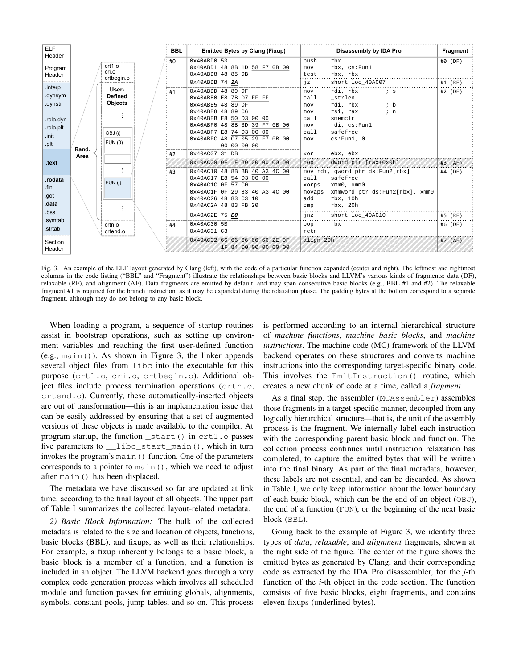

<span id="page-5-0"></span>Fig. 3. An example of the ELF layout generated by Clang (left), with the code of a particular function expanded (center and right). The leftmost and rightmost columns in the code listing ("BBL" and "Fragment") illustrate the relationships between basic blocks and LLVM's various kinds of fragments: data (DF), relaxable (RF), and alignment (AF). Data fragments are emitted by default, and may span consecutive basic blocks (e.g., BBL #1 and #2). The relaxable fragment #1 is required for the branch instruction, as it may be expanded during the relaxation phase. The padding bytes at the bottom correspond to a separate fragment, although they do not belong to any basic block.

When loading a program, a sequence of startup routines assist in bootstrap operations, such as setting up environment variables and reaching the first user-defined function (e.g., main()). As shown in Figure [3,](#page-5-0) the linker appends several object files from libc into the executable for this purpose (crt1.o, cri.o, crtbegin.o). Additional object files include process termination operations (crtn.o, crtend.o). Currently, these automatically-inserted objects are out of transformation—this is an implementation issue that can be easily addressed by ensuring that a set of augmented versions of these objects is made available to the compiler. At program startup, the function \_start() in crt1.o passes five parameters to \_\_libc\_start\_main(), which in turn invokes the program's main() function. One of the parameters corresponds to a pointer to main(), which we need to adjust after main() has been displaced.

The metadata we have discussed so far are updated at link time, according to the final layout of all objects. The upper part of Table [I](#page-6-0) summarizes the collected layout-related metadata.

<span id="page-5-1"></span>*2) Basic Block Information:* The bulk of the collected metadata is related to the size and location of objects, functions, basic blocks (BBL), and fixups, as well as their relationships. For example, a fixup inherently belongs to a basic block, a basic block is a member of a function, and a function is included in an object. The LLVM backend goes through a very complex code generation process which involves all scheduled module and function passes for emitting globals, alignments, symbols, constant pools, jump tables, and so on. This process

is performed according to an internal hierarchical structure of *machine functions*, *machine basic blocks*, and *machine instructions*. The machine code (MC) framework of the LLVM backend operates on these structures and converts machine instructions into the corresponding target-specific binary code. This involves the EmitInstruction() routine, which creates a new chunk of code at a time, called a *fragment*.

As a final step, the assembler (MCAssembler) assembles those fragments in a target-specific manner, decoupled from any logically hierarchical structure—that is, the unit of the assembly process is the fragment. We internally label each instruction with the corresponding parent basic block and function. The collection process continues until instruction relaxation has completed, to capture the emitted bytes that will be written into the final binary. As part of the final metadata, however, these labels are not essential, and can be discarded. As shown in Table [I,](#page-6-0) we only keep information about the lower boundary of each basic block, which can be the end of an object (OBJ), the end of a function (FUN), or the beginning of the next basic block (BBL).

Going back to the example of Figure [3,](#page-5-0) we identify three types of *data*, *relaxable*, and *alignment* fragments, shown at the right side of the figure. The center of the figure shows the emitted bytes as generated by Clang, and their corresponding code as extracted by the IDA Pro disassembler, for the *j*-th function of the *i*-th object in the code section. The function consists of five basic blocks, eight fragments, and contains eleven fixups (underlined bytes).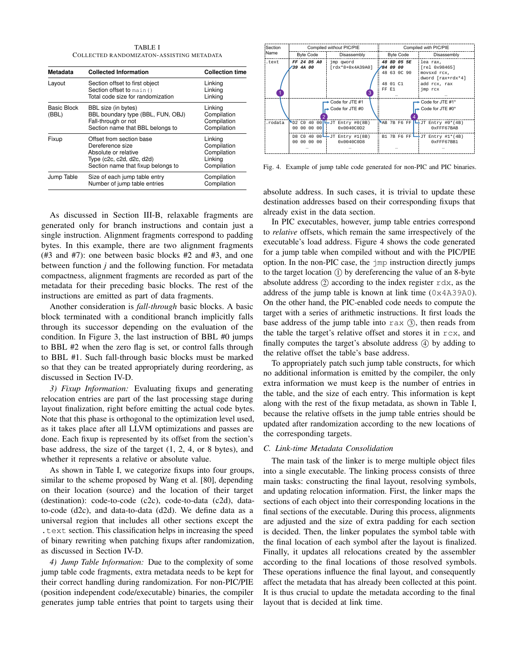TABLE I COLLECTED RANDOMIZATON-ASSISTING METADATA

<span id="page-6-0"></span>

| Metadata                    | <b>Collected Information</b>                                                                                                            | <b>Collection time</b>                                          |
|-----------------------------|-----------------------------------------------------------------------------------------------------------------------------------------|-----------------------------------------------------------------|
| Layout                      | Section offset to first object<br>Section offset to main ()<br>Total code size for randomization                                        | Linking<br>Linking<br>Linking                                   |
| <b>Basic Block</b><br>(BBL) | BBL size (in bytes)<br>BBL boundary type (BBL, FUN, OBJ)<br>Fall-through or not<br>Section name that BBL belongs to                     | Linking<br>Compilation<br>Compilation<br>Compilation            |
| Fixup                       | Offset from section base<br>Dereference size<br>Absolute or relative<br>Type (c2c, c2d, d2c, d2d)<br>Section name that fixup belongs to | Linking<br>Compilation<br>Compilation<br>Linking<br>Compilation |
| Jump Table                  | Size of each jump table entry<br>Number of jump table entries                                                                           | Compilation<br>Compilation                                      |

As discussed in Section [III-B,](#page-3-2) relaxable fragments are generated only for branch instructions and contain just a single instruction. Alignment fragments correspond to padding bytes. In this example, there are two alignment fragments (#3 and #7): one between basic blocks #2 and #3, and one between function *j* and the following function. For metadata compactness, alignment fragments are recorded as part of the metadata for their preceding basic blocks. The rest of the instructions are emitted as part of data fragments.

Another consideration is *fall-through* basic blocks. A basic block terminated with a conditional branch implicitly falls through its successor depending on the evaluation of the condition. In Figure [3,](#page-5-0) the last instruction of BBL #0 jumps to BBL #2 when the zero flag is set, or control falls through to BBL #1. Such fall-through basic blocks must be marked so that they can be treated appropriately during reordering, as discussed in Section [IV-D.](#page-7-0)

<span id="page-6-2"></span>*3) Fixup Information:* Evaluating fixups and generating relocation entries are part of the last processing stage during layout finalization, right before emitting the actual code bytes. Note that this phase is orthogonal to the optimization level used, as it takes place after all LLVM optimizations and passes are done. Each fixup is represented by its offset from the section's base address, the size of the target (1, 2, 4, or 8 bytes), and whether it represents a relative or absolute value.

As shown in Table [I,](#page-6-0) we categorize fixups into four groups, similar to the scheme proposed by Wang et al. [\[80\]](#page-14-31), depending on their location (source) and the location of their target (destination): code-to-code (c2c), code-to-data (c2d), datato-code (d2c), and data-to-data (d2d). We define data as a universal region that includes all other sections except the .text section. This classification helps in increasing the speed of binary rewriting when patching fixups after randomization, as discussed in Section [IV-D.](#page-7-0)

*4) Jump Table Information:* Due to the complexity of some jump table code fragments, extra metadata needs to be kept for their correct handling during randomization. For non-PIC/PIE (position independent code/executable) binaries, the compiler generates jump table entries that point to targets using their



<span id="page-6-1"></span>Fig. 4. Example of jump table code generated for non-PIC and PIC binaries.

absolute address. In such cases, it is trivial to update these destination addresses based on their corresponding fixups that already exist in the data section.

In PIC executables, however, jump table entries correspond to *relative* offsets, which remain the same irrespectively of the executable's load address. Figure [4](#page-6-1) shows the code generated for a jump table when compiled without and with the PIC/PIE option. In the non-PIC case, the jmp instruction directly jumps to the target location  $(1)$  by dereferencing the value of an 8-byte absolute address  $(2)$  according to the index register  $r dx$ , as the address of the jump table is known at link time (0x4A39A0). On the other hand, the PIC-enabled code needs to compute the target with a series of arithmetic instructions. It first loads the base address of the jump table into  $rax(3)$ , then reads from the table the target's relative offset and stores it in rcx, and finally computes the target's absolute address  $\left($  $\right)$  by adding to the relative offset the table's base address.

To appropriately patch such jump table constructs, for which no additional information is emitted by the compiler, the only extra information we must keep is the number of entries in the table, and the size of each entry. This information is kept along with the rest of the fixup metadata, as shown in Table [I,](#page-6-0) because the relative offsets in the jump table entries should be updated after randomization according to the new locations of the corresponding targets.

## <span id="page-6-3"></span>*C. Link-time Metadata Consolidation*

The main task of the linker is to merge multiple object files into a single executable. The linking process consists of three main tasks: constructing the final layout, resolving symbols, and updating relocation information. First, the linker maps the sections of each object into their corresponding locations in the final sections of the executable. During this process, alignments are adjusted and the size of extra padding for each section is decided. Then, the linker populates the symbol table with the final location of each symbol after the layout is finalized. Finally, it updates all relocations created by the assembler according to the final locations of those resolved symbols. These operations influence the final layout, and consequently affect the metadata that has already been collected at this point. It is thus crucial to update the metadata according to the final layout that is decided at link time.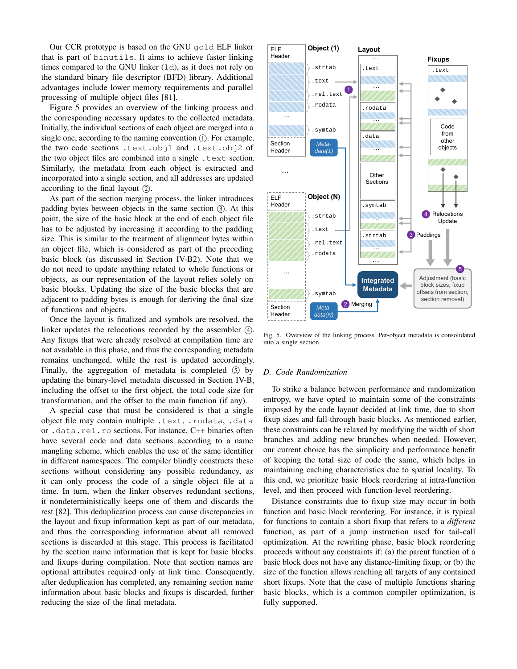Our CCR prototype is based on the GNU gold ELF linker that is part of binutils. It aims to achieve faster linking times compared to the GNU linker  $(1d)$ , as it does not rely on the standard binary file descriptor (BFD) library. Additional advantages include lower memory requirements and parallel processing of multiple object files [\[81\]](#page-14-32).

Figure [5](#page-7-1) provides an overview of the linking process and the corresponding necessary updates to the collected metadata. Initially, the individual sections of each object are merged into a single one, according to the naming convention  $(1)$ . For example, the two code sections .text.obj1 and .text.obj2 of the two object files are combined into a single .text section. Similarly, the metadata from each object is extracted and incorporated into a single section, and all addresses are updated according to the final layout  $(2)$ .

As part of the section merging process, the linker introduces padding bytes between objects in the same section  $(3)$ . At this point, the size of the basic block at the end of each object file has to be adjusted by increasing it according to the padding size. This is similar to the treatment of alignment bytes within an object file, which is considered as part of the preceding basic block (as discussed in Section [IV-B2\)](#page-5-1). Note that we do not need to update anything related to whole functions or objects, as our representation of the layout relies solely on basic blocks. Updating the size of the basic blocks that are adjacent to padding bytes is enough for deriving the final size of functions and objects.

Once the layout is finalized and symbols are resolved, the linker updates the relocations recorded by the assembler  $(4)$ . Any fixups that were already resolved at compilation time are not available in this phase, and thus the corresponding metadata remains unchanged, while the rest is updated accordingly. Finally, the aggregation of metadata is completed  $(5)$  by updating the binary-level metadata discussed in Section [IV-B,](#page-4-1) including the offset to the first object, the total code size for transformation, and the offset to the main function (if any).

A special case that must be considered is that a single object file may contain multiple .text, .rodata, .data or .data.rel.ro sections. For instance, C++ binaries often have several code and data sections according to a name mangling scheme, which enables the use of the same identifier in different namespaces. The compiler blindly constructs these sections without considering any possible redundancy, as it can only process the code of a single object file at a time. In turn, when the linker observes redundant sections, it nondeterministically keeps one of them and discards the rest [\[82\]](#page-14-33). This deduplication process can cause discrepancies in the layout and fixup information kept as part of our metadata, and thus the corresponding information about all removed sections is discarded at this stage. This process is facilitated by the section name information that is kept for basic blocks and fixups during compilation. Note that section names are optional attributes required only at link time. Consequently, after deduplication has completed, any remaining section name information about basic blocks and fixups is discarded, further reducing the size of the final metadata.



<span id="page-7-1"></span>Fig. 5. Overview of the linking process. Per-object metadata is consolidated into a single section.

# <span id="page-7-0"></span>*D. Code Randomization*

To strike a balance between performance and randomization entropy, we have opted to maintain some of the constraints imposed by the code layout decided at link time, due to short fixup sizes and fall-through basic blocks. As mentioned earlier, these constraints can be relaxed by modifying the width of short branches and adding new branches when needed. However, our current choice has the simplicity and performance benefit of keeping the total size of code the same, which helps in maintaining caching characteristics due to spatial locality. To this end, we prioritize basic block reordering at intra-function level, and then proceed with function-level reordering.

Distance constraints due to fixup size may occur in both function and basic block reordering. For instance, it is typical for functions to contain a short fixup that refers to a *different* function, as part of a jump instruction used for tail-call optimization. At the rewriting phase, basic block reordering proceeds without any constraints if: (a) the parent function of a basic block does not have any distance-limiting fixup, or (b) the size of the function allows reaching all targets of any contained short fixups. Note that the case of multiple functions sharing basic blocks, which is a common compiler optimization, is fully supported.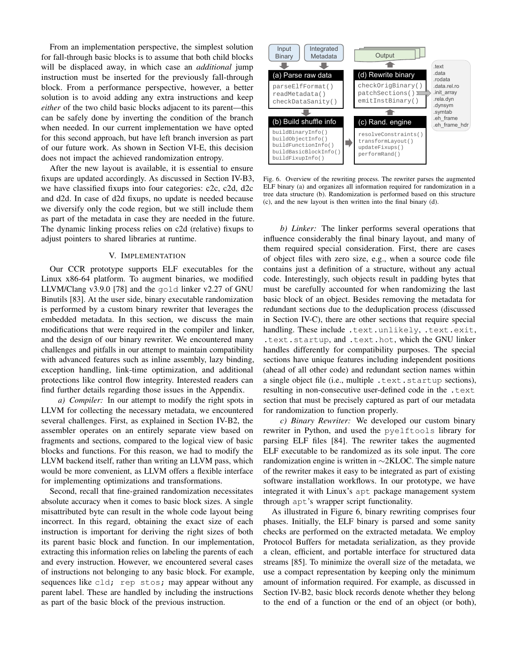From an implementation perspective, the simplest solution for fall-through basic blocks is to assume that both child blocks will be displaced away, in which case an *additional* jump instruction must be inserted for the previously fall-through block. From a performance perspective, however, a better solution is to avoid adding any extra instructions and keep *either* of the two child basic blocks adjacent to its parent—this can be safely done by inverting the condition of the branch when needed. In our current implementation we have opted for this second approach, but have left branch inversion as part of our future work. As shown in Section [VI-E,](#page-10-0) this decision does not impact the achieved randomization entropy.

After the new layout is available, it is essential to ensure fixups are updated accordingly. As discussed in Section [IV-B3,](#page-6-2) we have classified fixups into four categories: c2c, c2d, d2c and d2d. In case of d2d fixups, no update is needed because we diversify only the code region, but we still include them as part of the metadata in case they are needed in the future. The dynamic linking process relies on c2d (relative) fixups to adjust pointers to shared libraries at runtime.

#### V. IMPLEMENTATION

<span id="page-8-0"></span>Our CCR prototype supports ELF executables for the Linux x86-64 platform. To augment binaries, we modified LLVM/Clang v3.9.0 [\[78\]](#page-14-29) and the gold linker v2.27 of GNU Binutils [\[83\]](#page-14-34). At the user side, binary executable randomization is performed by a custom binary rewriter that leverages the embedded metadata. In this section, we discuss the main modifications that were required in the compiler and linker, and the design of our binary rewriter. We encountered many challenges and pitfalls in our attempt to maintain compatibility with advanced features such as inline assembly, lazy binding, exception handling, link-time optimization, and additional protections like control flow integrity. Interested readers can find further details regarding those issues in the Appendix.

*a) Compiler:* In our attempt to modify the right spots in LLVM for collecting the necessary metadata, we encountered several challenges. First, as explained in Section [IV-B2,](#page-5-1) the assembler operates on an entirely separate view based on fragments and sections, compared to the logical view of basic blocks and functions. For this reason, we had to modify the LLVM backend itself, rather than writing an LLVM pass, which would be more convenient, as LLVM offers a flexible interface for implementing optimizations and transformations.

Second, recall that fine-grained randomization necessitates absolute accuracy when it comes to basic block sizes. A single misattributed byte can result in the whole code layout being incorrect. In this regard, obtaining the exact size of each instruction is important for deriving the right sizes of both its parent basic block and function. In our implementation, extracting this information relies on labeling the parents of each and every instruction. However, we encountered several cases of instructions not belonging to any basic block. For example, sequences like cld; rep stos; may appear without any parent label. These are handled by including the instructions as part of the basic block of the previous instruction.



<span id="page-8-1"></span>Fig. 6. Overview of the rewriting process. The rewriter parses the augmented ELF binary (a) and organizes all information required for randomization in a tree data structure (b). Randomization is performed based on this structure (c), and the new layout is then written into the final binary (d).

*b) Linker:* The linker performs several operations that influence considerably the final binary layout, and many of them required special consideration. First, there are cases of object files with zero size, e.g., when a source code file contains just a definition of a structure, without any actual code. Interestingly, such objects result in padding bytes that must be carefully accounted for when randomizing the last basic block of an object. Besides removing the metadata for redundant sections due to the deduplication process (discussed in Section [IV-C\)](#page-6-3), there are other sections that require special handling. These include .text.unlikely, .text.exit, .text.startup, and .text.hot, which the GNU linker handles differently for compatibility purposes. The special sections have unique features including independent positions (ahead of all other code) and redundant section names within a single object file (i.e., multiple .text.startup sections), resulting in non-consecutive user-defined code in the .text section that must be precisely captured as part of our metadata for randomization to function properly.

*c) Binary Rewriter:* We developed our custom binary rewriter in Python, and used the pyelftools library for parsing ELF files [\[84\]](#page-14-35). The rewriter takes the augmented ELF executable to be randomized as its sole input. The core randomization engine is written in ∼2KLOC. The simple nature of the rewriter makes it easy to be integrated as part of existing software installation workflows. In our prototype, we have integrated it with Linux's apt package management system through apt's wrapper script functionality.

As illustrated in Figure [6,](#page-8-1) binary rewriting comprises four phases. Initially, the ELF binary is parsed and some sanity checks are performed on the extracted metadata. We employ Protocol Buffers for metadata serialization, as they provide a clean, efficient, and portable interface for structured data streams [\[85\]](#page-14-36). To minimize the overall size of the metadata, we use a compact representation by keeping only the minimum amount of information required. For example, as discussed in Section [IV-B2,](#page-5-1) basic block records denote whether they belong to the end of a function or the end of an object (or both),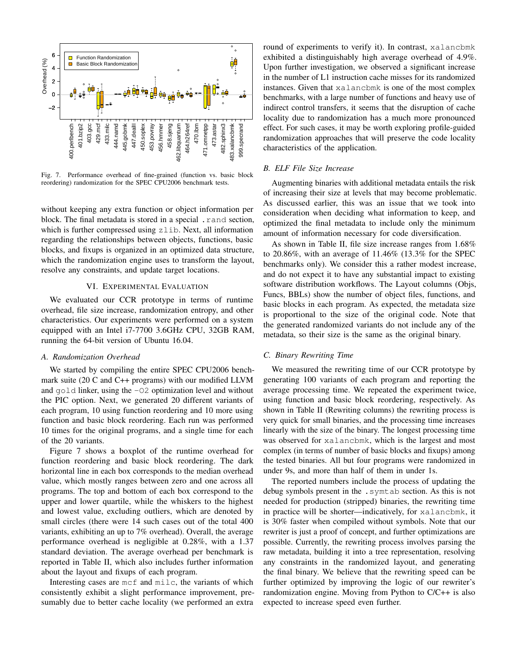

<span id="page-9-0"></span>Fig. 7. Performance overhead of fine-grained (function vs. basic block reordering) randomization for the SPEC CPU2006 benchmark tests.

without keeping any extra function or object information per block. The final metadata is stored in a special . rand section, which is further compressed using zlib. Next, all information regarding the relationships between objects, functions, basic blocks, and fixups is organized in an optimized data structure, which the randomization engine uses to transform the layout, resolve any constraints, and update target locations.

# VI. EXPERIMENTAL EVALUATION

We evaluated our CCR prototype in terms of runtime overhead, file size increase, randomization entropy, and other characteristics. Our experiments were performed on a system equipped with an Intel i7-7700 3.6GHz CPU, 32GB RAM, running the 64-bit version of Ubuntu 16.04.

# *A. Randomization Overhead*

We started by compiling the entire SPEC CPU2006 benchmark suite (20 C and C++ programs) with our modified LLVM and  $q$ old linker, using the  $-02$  optimization level and without the PIC option. Next, we generated 20 different variants of each program, 10 using function reordering and 10 more using function and basic block reordering. Each run was performed 10 times for the original programs, and a single time for each of the 20 variants.

Figure [7](#page-9-0) shows a boxplot of the runtime overhead for function reordering and basic block reordering. The dark horizontal line in each box corresponds to the median overhead value, which mostly ranges between zero and one across all programs. The top and bottom of each box correspond to the upper and lower quartile, while the whiskers to the highest and lowest value, excluding outliers, which are denoted by small circles (there were 14 such cases out of the total 400 variants, exhibiting an up to 7% overhead). Overall, the average performance overhead is negligible at 0.28%, with a 1.37 standard deviation. The average overhead per benchmark is reported in Table [II,](#page-11-0) which also includes further information about the layout and fixups of each program.

Interesting cases are mcf and milc, the variants of which consistently exhibit a slight performance improvement, presumably due to better cache locality (we performed an extra

round of experiments to verify it). In contrast, xalancbmk exhibited a distinguishably high average overhead of 4.9%. Upon further investigation, we observed a significant increase in the number of L1 instruction cache misses for its randomized instances. Given that xalancbmk is one of the most complex benchmarks, with a large number of functions and heavy use of indirect control transfers, it seems that the disruption of cache locality due to randomization has a much more pronounced effect. For such cases, it may be worth exploring profile-guided randomization approaches that will preserve the code locality characteristics of the application.

# *B. ELF File Size Increase*

Augmenting binaries with additional metadata entails the risk of increasing their size at levels that may become problematic. As discussed earlier, this was an issue that we took into consideration when deciding what information to keep, and optimized the final metadata to include only the minimum amount of information necessary for code diversification.

As shown in Table [II,](#page-11-0) file size increase ranges from 1.68% to 20.86%, with an average of 11.46% (13.3% for the SPEC benchmarks only). We consider this a rather modest increase, and do not expect it to have any substantial impact to existing software distribution workflows. The Layout columns (Objs, Funcs, BBLs) show the number of object files, functions, and basic blocks in each program. As expected, the metadata size is proportional to the size of the original code. Note that the generated randomized variants do not include any of the metadata, so their size is the same as the original binary.

# *C. Binary Rewriting Time*

We measured the rewriting time of our CCR prototype by generating 100 variants of each program and reporting the average processing time. We repeated the experiment twice, using function and basic block reordering, respectively. As shown in Table [II](#page-11-0) (Rewriting columns) the rewriting process is very quick for small binaries, and the processing time increases linearly with the size of the binary. The longest processing time was observed for xalancbmk, which is the largest and most complex (in terms of number of basic blocks and fixups) among the tested binaries. All but four programs were randomized in under 9s, and more than half of them in under 1s.

The reported numbers include the process of updating the debug symbols present in the . symtab section. As this is not needed for production (stripped) binaries, the rewriting time in practice will be shorter—indicatively, for xalancbmk, it is 30% faster when compiled without symbols. Note that our rewriter is just a proof of concept, and further optimizations are possible. Currently, the rewriting process involves parsing the raw metadata, building it into a tree representation, resolving any constraints in the randomized layout, and generating the final binary. We believe that the rewriting speed can be further optimized by improving the logic of our rewriter's randomization engine. Moving from Python to C/C++ is also expected to increase speed even further.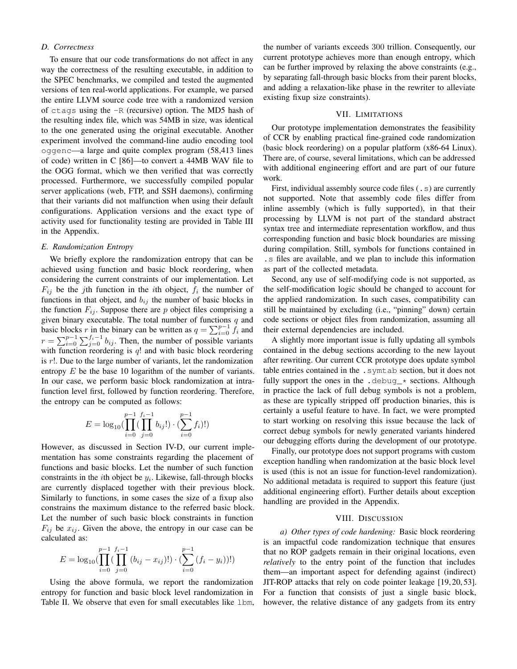# *D. Correctness*

To ensure that our code transformations do not affect in any way the correctness of the resulting executable, in addition to the SPEC benchmarks, we compiled and tested the augmented versions of ten real-world applications. For example, we parsed the entire LLVM source code tree with a randomized version of ctags using the -R (recursive) option. The MD5 hash of the resulting index file, which was 54MB in size, was identical to the one generated using the original executable. Another experiment involved the command-line audio encoding tool oggenc—a large and quite complex program (58,413 lines of code) written in C [\[86\]](#page-14-37)—to convert a 44MB WAV file to the OGG format, which we then verified that was correctly processed. Furthermore, we successfully compiled popular server applications (web, FTP, and SSH daemons), confirming that their variants did not malfunction when using their default configurations. Application versions and the exact type of activity used for functionality testing are provided in Table [III](#page-15-0) in the Appendix.

#### <span id="page-10-0"></span>*E. Randomization Entropy*

We briefly explore the randomization entropy that can be achieved using function and basic block reordering, when considering the current constraints of our implementation. Let  $F_{ij}$  be the jth function in the *i*th object,  $f_i$  the number of functions in that object, and  $b_{ij}$  the number of basic blocks in the function  $F_{ij}$ . Suppose there are p object files comprising a given binary executable. The total number of functions  $q$  and basic blocks r in the binary can be written as  $q = \sum_{i=0}^{p-1} \bar{f}_i$  and  $r = \sum_{i=0}^{p-1} \sum_{j=0}^{f_i-1} b_{ij}$ . Then, the number of possible variants with function reordering is  $q!$  and with basic block reordering is  $r!$ . Due to the large number of variants, let the randomization entropy  $E$  be the base 10 logarithm of the number of variants. In our case, we perform basic block randomization at intrafunction level first, followed by function reordering. Therefore, the entropy can be computed as follows:

$$
E = \log_{10}(\prod_{i=0}^{p-1} (\prod_{j=0}^{f_i-1} b_{ij}!) \cdot (\sum_{i=0}^{p-1} f_i)!)
$$

However, as discussed in Section [IV-D,](#page-7-0) our current implementation has some constraints regarding the placement of functions and basic blocks. Let the number of such function constraints in the *i*th object be  $y_i$ . Likewise, fall-through blocks are currently displaced together with their previous block. Similarly to functions, in some cases the size of a fixup also constrains the maximum distance to the referred basic block. Let the number of such basic block constraints in function  $F_{ij}$  be  $x_{ij}$ . Given the above, the entropy in our case can be calculated as:

$$
E = \log_{10}(\prod_{i=0}^{p-1} (\prod_{j=0}^{f_i-1} (b_{ij} - x_{ij})!) \cdot (\sum_{i=0}^{p-1} (f_i - y_i))!)
$$

Using the above formula, we report the randomization entropy for function and basic block level randomization in Table [II.](#page-11-0) We observe that even for small executables like lbm, the number of variants exceeds 300 trillion. Consequently, our current prototype achieves more than enough entropy, which can be further improved by relaxing the above constraints (e.g., by separating fall-through basic blocks from their parent blocks, and adding a relaxation-like phase in the rewriter to alleviate existing fixup size constraints).

## VII. LIMITATIONS

Our prototype implementation demonstrates the feasibility of CCR by enabling practical fine-grained code randomization (basic block reordering) on a popular platform (x86-64 Linux). There are, of course, several limitations, which can be addressed with additional engineering effort and are part of our future work.

First, individual assembly source code files  $(.s)$  are currently not supported. Note that assembly code files differ from inline assembly (which is fully supported), in that their processing by LLVM is not part of the standard abstract syntax tree and intermediate representation workflow, and thus corresponding function and basic block boundaries are missing during compilation. Still, symbols for functions contained in .s files are available, and we plan to include this information as part of the collected metadata.

Second, any use of self-modifying code is not supported, as the self-modification logic should be changed to account for the applied randomization. In such cases, compatibility can still be maintained by excluding (i.e., "pinning" down) certain code sections or object files from randomization, assuming all their external dependencies are included.

A slightly more important issue is fully updating all symbols contained in the debug sections according to the new layout after rewriting. Our current CCR prototype does update symbol table entries contained in the . symtab section, but it does not fully support the ones in the .debug\_ $*$  sections. Although in practice the lack of full debug symbols is not a problem, as these are typically stripped off production binaries, this is certainly a useful feature to have. In fact, we were prompted to start working on resolving this issue because the lack of correct debug symbols for newly generated variants hindered our debugging efforts during the development of our prototype.

Finally, our prototype does not support programs with custom exception handling when randomization at the basic block level is used (this is not an issue for function-level randomization). No additional metadata is required to support this feature (just additional engineering effort). Further details about exception handling are provided in the Appendix.

#### VIII. DISCUSSION

*a) Other types of code hardening:* Basic block reordering is an impactful code randomization technique that ensures that no ROP gadgets remain in their original locations, even *relatively* to the entry point of the function that includes them—an important aspect for defending against (indirect) JIT-ROP attacks that rely on code pointer leakage [\[19,](#page-13-30) [20,](#page-13-7) [53\]](#page-14-38). For a function that consists of just a single basic block, however, the relative distance of any gadgets from its entry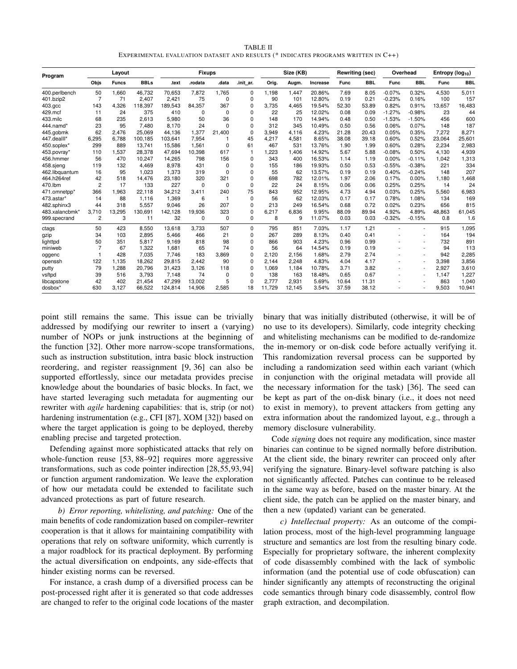|                                                                                      | TABLE II |  |
|--------------------------------------------------------------------------------------|----------|--|
| EXPERIMENTAL EVALUATION DATASET AND RESULTS (* INDICATES PROGRAMS WRITTEN IN $C++$ ) |          |  |

<span id="page-11-0"></span>

| Program             | Layout         |              |             | <b>Fixups</b> |          |              | Size (KB)   |        |        | Rewriting (sec) |       | Overhead   |             | Entropy (log <sub>10</sub> ) |        |            |
|---------------------|----------------|--------------|-------------|---------------|----------|--------------|-------------|--------|--------|-----------------|-------|------------|-------------|------------------------------|--------|------------|
|                     | Objs           | <b>Funcs</b> | <b>BBLs</b> | .text         | .rodata  | .data        | .init_ar.   | Orig.  | Augm.  | Increase        | Func  | <b>BBL</b> | <b>Func</b> | <b>BBL</b>                   | Func   | <b>BBL</b> |
| 400.perlbench       | 50             | 1,660        | 46,732      | 70,653        | 7,872    | 1,765        | 0           | 1.198  | 1.447  | 20.86%          | 7.69  | 8.05       | $-0.07%$    | 0.32%                        | 4,530  | 5,011      |
| 401.bzip2           | $\overline{7}$ | 71           | 2.407       | 2.421         | 75       | 0            | 0           | 90     | 101    | 12.80%          | 0.19  | 0.21       | $-0.23%$    | 0.16%                        | 100    | 157        |
| 403.0 <sub>CC</sub> | 143            | 4,326        | 118,397     | 189,543       | 84,357   | 367          | 0           | 3,735  | 4.465  | 19.54%          | 52.30 | 53.89      | 0.82%       | 0.91%                        | 13,657 | 16,483     |
| 429.mcf             | 11             | 24           | 375         | 410           | $\Omega$ | 0            | 0           | 22     | 25     | 12.02%          | 0.08  | 0.09       | $-1.27%$    | $-0.98%$                     | 23     | 44         |
| 433.milc            | 68             | 235          | 2,613       | 5,980         | 50       | 36           | 0           | 148    | 170    | 14.94%          | 0.48  | 0.50       | $-1.53%$    | $-1.50%$                     | 456    | 600        |
| 444.namd*           | 23             | 95           | 7.480       | 8,170         | 24       | $\Omega$     | $\Omega$    | 312    | 345    | 10.49%          | 0.50  | 0.56       | 0.06%       | 0.07%                        | 148    | 187        |
| 445.gobmk           | 62             | 2,476        | 25.069      | 44,136        | 1.377    | 21,400       | $\mathbf 0$ | 3.949  | 4.116  | 4.23%           | 21.28 | 20.43      | 0.05%       | 0.35%                        | 7,272  | 8,271      |
| 447.dealll*         | 6,295          | 6,788        | 100,185     | 103,641       | 7,954    |              | 45          | 4,217  | 4,581  | 8.65%           | 38.08 | 39.18      | 0.60%       | 0.52%                        | 23,064 | 25,601     |
| 450.soplex*         | 299            | 889          | 13.741      | 15.586        | 1.561    | 0            | 61          | 467    | 531    | 13.76%          | 1.90  | 1.99       | 0.60%       | 0.28%                        | 2,234  | 2,983      |
| 453.povray*         | 110            | 1,537        | 28,378      | 47,694        | 10,398   | 617          | 1           | 1,223  | 1,406  | 14.92%          | 5.67  | 5.88       | $-0.08%$    | 0.50%                        | 4,130  | 4,939      |
| 456.hmmer           | 56             | 470          | 10,247      | 14,265        | 798      | 156          | 0           | 343    | 400    | 16.53%          | 1.14  | 1.19       | 0.00%       | $-0.11%$                     | 1,042  | 1,313      |
| 458.sjeng           | 119            | 132          | 4,469       | 8,978         | 431      | $\Omega$     | $\Omega$    | 155    | 186    | 19.93%          | 0.50  | 0.53       | $-0.55%$    | $-0.38%$                     | 221    | 334        |
| 462.libguantum      | 16             | 95           | 1.023       | 1.373         | 319      | $\Omega$     | 0           | 55     | 62     | 13.57%          | 0.19  | 0.19       | 0.40%       | $-0.24%$                     | 148    | 207        |
| 464.h264ref         | 42             | 518          | 14,476      | 23,180        | 320      | 321          | 0           | 698    | 782    | 12.01%          | 1.97  | 2.06       | 0.17%       | 0.00%                        | 1,180  | 1,468      |
| 470.lbm             | $\overline{c}$ | 17           | 133         | 227           | 0        | 0            | 0           | 22     | 24     | 8.15%           | 0.06  | 0.06       | 0.25%       | 0.25%                        | 14     | 24         |
| 471.omnetpp*        | 366            | 1,963        | 22,118      | 34,212        | 3.411    | 240          | 75          | 843    | 952    | 12.95%          | 4.73  | 4.94       | 0.03%       | 0.25%                        | 5,560  | 6,983      |
| 473.astar*          | 14             | 88           | 1,116       | 1,369         | 6        | $\mathbf{1}$ | $\Omega$    | 56     | 62     | 12.03%          | 0.17  | 0.17       | 0.78%       | 1.08%                        | 134    | 169        |
| 482.sphinx3         | 44             | 318          | 5,557       | 9.046         | 26       | 207          | 0           | 213    | 249    | 16.54%          | 0.68  | 0.72       | 0.02%       | 0.23%                        | 656    | 815        |
| 483.xalancbmk*      | 3.710          | 13,295       | 130,691     | 142.128       | 19,936   | 323          | 0           | 6.217  | 6.836  | 9.95%           | 88.09 | 89.94      | 4.92%       | 4.89%                        | 48,863 | 61,045     |
| 999.specrand        | 2              | 3            | 11          | 32            | 0        | 0            | 0           | 8      | 9      | 11.07%          | 0.03  | 0.03       | $-0.32%$    | $-0.15%$                     | 0.8    | 1.6        |
| ctags               | 50             | 423          | 8.550       | 13.618        | 3.733    | 507          | 0           | 795    | 851    | 7.03%           | 1.17  | 1.21       |             |                              | 915    | 1,095      |
| gzip                | 34             | 103          | 2,895       | 5.466         | 466      | 21           | 0           | 267    | 289    | 8.13%           | 0.40  | 0.41       |             |                              | 164    | 194        |
| lighttpd            | 50             | 351          | 5,817       | 9,169         | 818      | 98           | $\Omega$    | 866    | 903    | 4.23%           | 0.96  | 0.99       |             |                              | 732    | 891        |
| miniweb             |                | 67           | 1,322       | 1,681         | 65       | 74           | 0           | 56     | 64     | 14.54%          | 0.19  | 0.19       |             |                              | 94     | 113        |
| oggenc              |                | 428          | 7,035       | 7,746         | 183      | 3,869        | $\Omega$    | 2.120  | 2.156  | 1.68%           | 2.79  | 2.74       | ٠           | ٠                            | 942    | 2,285      |
| openssh             | 122            | 1.135        | 18.262      | 29.815        | 2.442    | 90           | 0           | 2.144  | 2,248  | 4.83%           | 4.04  | 4.17       |             |                              | 3,398  | 3,856      |
| putty               | 79             | 1,288        | 20,796      | 31,423        | 3,126    | 118          | 0           | 1,069  | 1,184  | 10.78%          | 3.71  | 3.82       |             | $\overline{a}$               | 2,927  | 3,610      |
| vsftpd              | 39             | 516          | 3,793       | 7,148         | 74       | 0            | 0           | 138    | 163    | 18.48%          | 0.65  | 0.67       |             |                              | 1,147  | 1,227      |
| libcapstone         | 42             | 402          | 21,454      | 47,299        | 13,002   | 5            | $\Omega$    | 2.777  | 2,931  | 5.69%           | 10.64 | 11.31      |             |                              | 863    | 1,040      |
| dosbox*             | 630            | 3.127        | 66.522      | 124,814       | 14,906   | 2,585        | 18          | 11.729 | 12,145 | 3.54%           | 37.59 | 38.12      |             |                              | 9,503  | 10,941     |

point still remains the same. This issue can be trivially addressed by modifying our rewriter to insert a (varying) number of NOPs or junk instructions at the beginning of the function [\[32\]](#page-13-25). Other more narrow-scope transformations, such as instruction substitution, intra basic block instruction reordering, and register reassignment [\[9,](#page-13-34) [36\]](#page-13-16) can also be supported effortlessly, since our metadata provides precise knowledge about the boundaries of basic blocks. In fact, we have started leveraging such metadata for augmenting our rewriter with *agile* hardening capabilities: that is, strip (or not) hardening instrumentation (e.g., CFI [\[87\]](#page-14-39), XOM [\[32\]](#page-13-25)) based on where the target application is going to be deployed, thereby enabling precise and targeted protection.

Defending against more sophisticated attacks that rely on whole-function reuse [\[53,](#page-14-38) [88–](#page-14-40)[92\]](#page-15-1) requires more aggressive transformations, such as code pointer indirection [\[28,](#page-13-33)[55,](#page-14-8)[93,](#page-15-2)[94\]](#page-15-3) or function argument randomization. We leave the exploration of how our metadata could be extended to facilitate such advanced protections as part of future research.

*b) Error reporting, whitelisting, and patching:* One of the main benefits of code randomization based on compiler–rewriter cooperation is that it allows for maintaining compatibility with operations that rely on software uniformity, which currently is a major roadblock for its practical deployment. By performing the actual diversification on endpoints, any side-effects that hinder existing norms can be reversed.

For instance, a crash dump of a diversified process can be post-processed right after it is generated so that code addresses are changed to refer to the original code locations of the master binary that was initially distributed (otherwise, it will be of no use to its developers). Similarly, code integrity checking and whitelisting mechanisms can be modified to de-randomize the in-memory or on-disk code before actually verifying it. This randomization reversal process can be supported by including a randomization seed within each variant (which in conjunction with the original metadata will provide all the necessary information for the task) [\[36\]](#page-13-16). The seed can be kept as part of the on-disk binary (i.e., it does not need to exist in memory), to prevent attackers from getting any extra information about the randomized layout, e.g., through a memory disclosure vulnerability.

Code *signing* does not require any modification, since master binaries can continue to be signed normally before distribution. At the client side, the binary rewriter can proceed only after verifying the signature. Binary-level software patching is also not significantly affected. Patches can continue to be released in the same way as before, based on the master binary. At the client side, the patch can be applied on the master binary, and then a new (updated) variant can be generated.

*c) Intellectual property:* As an outcome of the compilation process, most of the high-level programming language structure and semantics are lost from the resulting binary code. Especially for proprietary software, the inherent complexity of code disassembly combined with the lack of symbolic information (and the potential use of code obfuscation) can hinder significantly any attempts of reconstructing the original code semantics through binary code disassembly, control flow graph extraction, and decompilation.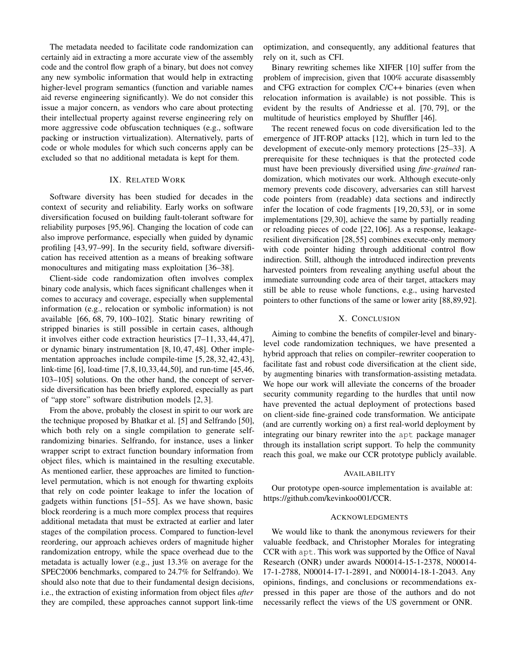The metadata needed to facilitate code randomization can certainly aid in extracting a more accurate view of the assembly code and the control flow graph of a binary, but does not convey any new symbolic information that would help in extracting higher-level program semantics (function and variable names aid reverse engineering significantly). We do not consider this issue a major concern, as vendors who care about protecting their intellectual property against reverse engineering rely on more aggressive code obfuscation techniques (e.g., software packing or instruction virtualization). Alternatively, parts of code or whole modules for which such concerns apply can be excluded so that no additional metadata is kept for them.

### IX. RELATED WORK

Software diversity has been studied for decades in the context of security and reliability. Early works on software diversification focused on building fault-tolerant software for reliability purposes [\[95,](#page-15-4) [96\]](#page-15-5). Changing the location of code can also improve performance, especially when guided by dynamic profiling [\[43,](#page-14-0) [97–](#page-15-6)[99\]](#page-15-7). In the security field, software diversification has received attention as a means of breaking software monocultures and mitigating mass exploitation [\[36–](#page-13-16)[38\]](#page-13-18).

Client-side code randomization often involves complex binary code analysis, which faces significant challenges when it comes to accuracy and coverage, especially when supplemental information (e.g., relocation or symbolic information) is not available [\[66,](#page-14-18) [68,](#page-14-20) [79,](#page-14-30) [100](#page-15-8)[–102\]](#page-15-9). Static binary rewriting of stripped binaries is still possible in certain cases, although it involves either code extraction heuristics [\[7–](#page-13-27)[11,](#page-13-2) [33,](#page-13-13) [44,](#page-14-1) [47\]](#page-14-3), or dynamic binary instrumentation [\[8,](#page-13-28) [10,](#page-13-23) [47,](#page-14-3) [48\]](#page-14-4). Other implementation approaches include compile-time [\[5,](#page-13-24) [28,](#page-13-33) [32,](#page-13-25) [42,](#page-13-26) [43\]](#page-14-0), link-time [\[6\]](#page-13-32), load-time [\[7,](#page-13-27)[8,](#page-13-28)[10,](#page-13-23)[33,](#page-13-13)[44,](#page-14-1)[50\]](#page-14-6), and run-time [\[45,](#page-14-41)[46,](#page-14-2) [103](#page-15-10)[–105\]](#page-15-11) solutions. On the other hand, the concept of serverside diversification has been briefly explored, especially as part of "app store" software distribution models [\[2,](#page-13-1) [3\]](#page-13-29).

From the above, probably the closest in spirit to our work are the technique proposed by Bhatkar et al. [\[5\]](#page-13-24) and Selfrando [\[50\]](#page-14-6), which both rely on a single compilation to generate selfrandomizing binaries. Selfrando, for instance, uses a linker wrapper script to extract function boundary information from object files, which is maintained in the resulting executable. As mentioned earlier, these approaches are limited to functionlevel permutation, which is not enough for thwarting exploits that rely on code pointer leakage to infer the location of gadgets within functions [\[51–](#page-14-7)[55\]](#page-14-8). As we have shown, basic block reordering is a much more complex process that requires additional metadata that must be extracted at earlier and later stages of the compilation process. Compared to function-level reordering, our approach achieves orders of magnitude higher randomization entropy, while the space overhead due to the metadata is actually lower (e.g., just 13.3% on average for the SPEC2006 benchmarks, compared to 24.7% for Selfrando). We should also note that due to their fundamental design decisions, i.e., the extraction of existing information from object files *after* they are compiled, these approaches cannot support link-time

optimization, and consequently, any additional features that rely on it, such as CFI.

Binary rewriting schemes like XIFER [\[10\]](#page-13-23) suffer from the problem of imprecision, given that 100% accurate disassembly and CFG extraction for complex C/C++ binaries (even when relocation information is available) is not possible. This is evident by the results of Andriesse et al. [\[70,](#page-14-21) [79\]](#page-14-30), or the multitude of heuristics employed by Shuffler [\[46\]](#page-14-2).

The recent renewed focus on code diversification led to the emergence of JIT-ROP attacks [\[12\]](#page-13-3), which in turn led to the development of execute-only memory protections [\[25–](#page-13-12)[33\]](#page-13-13). A prerequisite for these techniques is that the protected code must have been previously diversified using *fine-grained* randomization, which motivates our work. Although execute-only memory prevents code discovery, adversaries can still harvest code pointers from (readable) data sections and indirectly infer the location of code fragments [\[19,](#page-13-30) [20,](#page-13-7) [53\]](#page-14-38), or in some implementations [\[29,](#page-13-35)[30\]](#page-13-36), achieve the same by partially reading or reloading pieces of code [\[22,](#page-13-9) [106\]](#page-15-12). As a response, leakageresilient diversification [\[28,](#page-13-33)[55\]](#page-14-8) combines execute-only memory with code pointer hiding through additional control flow indirection. Still, although the introduced indirection prevents harvested pointers from revealing anything useful about the immediate surrounding code area of their target, attackers may still be able to reuse whole functions, e.g., using harvested pointers to other functions of the same or lower arity [\[88,](#page-14-40)[89](#page-14-42)[,92\]](#page-15-1).

## X. CONCLUSION

Aiming to combine the benefits of compiler-level and binarylevel code randomization techniques, we have presented a hybrid approach that relies on compiler–rewriter cooperation to facilitate fast and robust code diversification at the client side, by augmenting binaries with transformation-assisting metadata. We hope our work will alleviate the concerns of the broader security community regarding to the hurdles that until now have prevented the actual deployment of protections based on client-side fine-grained code transformation. We anticipate (and are currently working on) a first real-world deployment by integrating our binary rewriter into the apt package manager through its installation script support. To help the community reach this goal, we make our CCR prototype publicly available.

#### AVAILABILITY

Our prototype open-source implementation is available at: [https://github.com/kevinkoo001/CCR.](https://github.com/kevinkoo001/CCR)

#### ACKNOWLEDGMENTS

We would like to thank the anonymous reviewers for their valuable feedback, and Christopher Morales for integrating CCR with apt. This work was supported by the Office of Naval Research (ONR) under awards N00014-15-1-2378, N00014- 17-1-2788, N00014-17-1-2891, and N00014-18-1-2043. Any opinions, findings, and conclusions or recommendations expressed in this paper are those of the authors and do not necessarily reflect the views of the US government or ONR.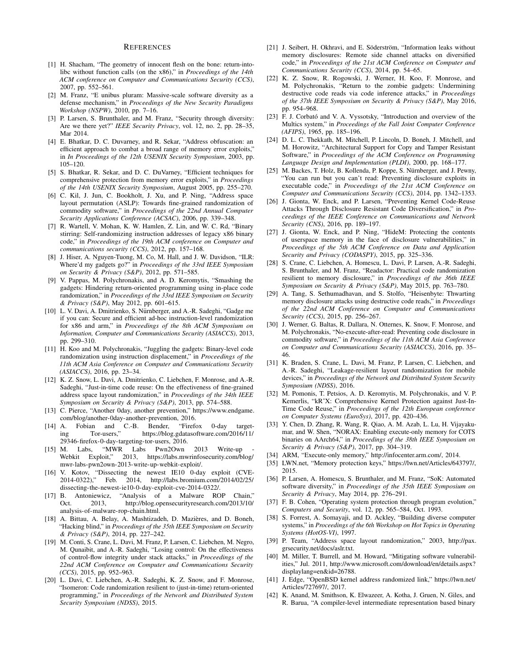#### **REFERENCES**

- <span id="page-13-0"></span>[1] H. Shacham, "The geometry of innocent flesh on the bone: return-intolibc without function calls (on the x86)," in *Proceedings of the 14th ACM conference on Computer and Communications Security (CCS)*, 2007, pp. 552–561.
- <span id="page-13-1"></span>[2] M. Franz, "E unibus pluram: Massive-scale software diversity as a defense mechanism," in *Proceedings of the New Security Paradigms Workshop (NSPW)*, 2010, pp. 7–16.
- <span id="page-13-29"></span>[3] P. Larsen, S. Brunthaler, and M. Franz, "Security through diversity: Are we there yet?" *IEEE Security Privacy*, vol. 12, no. 2, pp. 28–35, Mar 2014.
- <span id="page-13-22"></span>[4] E. Bhatkar, D. C. Duvarney, and R. Sekar, "Address obfuscation: an efficient approach to combat a broad range of memory error exploits," in *In Proceedings of the 12th USENIX Security Symposium*, 2003, pp. 105–120.
- <span id="page-13-24"></span>[5] S. Bhatkar, R. Sekar, and D. C. DuVarney, "Efficient techniques for comprehensive protection from memory error exploits," in *Proceedings of the 14th USENIX Security Symposium*, August 2005, pp. 255–270.
- <span id="page-13-32"></span>[6] C. Kil, J. Jun, C. Bookholt, J. Xu, and P. Ning, "Address space layout permutation (ASLP): Towards fine-grained randomization of commodity software," in *Proceedings of the 22nd Annual Computer Security Applications Conference (ACSAC)*, 2006, pp. 339–348.
- <span id="page-13-27"></span>[7] R. Wartell, V. Mohan, K. W. Hamlen, Z. Lin, and W. C. Rd, "Binary stirring: Self-randomizing instruction addresses of legacy x86 binary code," in *Proceedings of the 19th ACM conference on Computer and communications security (CCS)*, 2012, pp. 157–168.
- <span id="page-13-28"></span>[8] J. Hiser, A. Nguyen-Tuong, M. Co, M. Hall, and J. W. Davidson, "ILR: Where'd my gadgets go?" in *Proceedings of the 33rd IEEE Symposium on Security & Privacy (S&P)*, 2012, pp. 571–585.
- <span id="page-13-34"></span>[9] V. Pappas, M. Polychronakis, and A. D. Keromytis, "Smashing the gadgets: Hindering return-oriented programming using in-place code randomization," in *Proceedings of the 33rd IEEE Symposium on Security & Privacy (S&P)*, May 2012, pp. 601–615.
- <span id="page-13-23"></span>[10] L. V. Davi, A. Dmitrienko, S. Nürnberger, and A.-R. Sadeghi, "Gadge me if you can: Secure and efficient ad-hoc instruction-level randomization for x86 and arm," in *Proceedings of the 8th ACM Symposium on Information, Computer and Communications Security (ASIACCS)*, 2013, pp. 299–310.
- <span id="page-13-2"></span>[11] H. Koo and M. Polychronakis, "Juggling the gadgets: Binary-level code randomization using instruction displacement," in *Proceedings of the 11th ACM Asia Conference on Computer and Communications Security (ASIACCS)*, 2016, pp. 23–34.
- <span id="page-13-3"></span>[12] K. Z. Snow, L. Davi, A. Dmitrienko, C. Liebchen, F. Monrose, and A.-R. Sadeghi, "Just-in-time code reuse: On the effectiveness of fine-grained address space layout randomization," in *Proceedings of the 34th IEEE Symposium on Security & Privacy (S&P)*, 2013, pp. 574–588.
- <span id="page-13-4"></span>[13] C. Pierce, "Another 0day, another prevention," [https://www.endgame.](https://www.endgame.com/blog/another-0day-another-prevention) [com/blog/another-0day-another-prevention,](https://www.endgame.com/blog/another-0day-another-prevention) 2016.
- [14] A. Fobian and C.-B. Bender, "Firefox 0-day targeting Tor-users," [https://blog.gdatasoftware.com/2016/11/](https://blog.gdatasoftware.com/2016/11/29346-firefox-0-day-targeting-tor-users) [29346-firefox-0-day-targeting-tor-users,](https://blog.gdatasoftware.com/2016/11/29346-firefox-0-day-targeting-tor-users) 2016.
- [15] M. Labs, "MWR Labs Pwn2Own 2013 Write-up Webkit Exploit," 2013, [https://labs.mwrinfosecurity.com/blog/](https://labs.mwrinfosecurity.com/blog/mwr-labs-pwn2own-2013-write-up-webkit-exploit/) [mwr-labs-pwn2own-2013-write-up-webkit-exploit/.](https://labs.mwrinfosecurity.com/blog/mwr-labs-pwn2own-2013-write-up-webkit-exploit/)
- [16] V. Kotov, "Dissecting the newest IE10 0-day exploit (CVE-2014-0322)," Feb. 2014, [http://labs.bromium.com/2014/02/25/](http://labs.bromium.com/2014/02/25/dissecting-the-newest-ie10-0-day-exploit-cve-2014-0322/) [dissecting-the-newest-ie10-0-day-exploit-cve-2014-0322/.](http://labs.bromium.com/2014/02/25/dissecting-the-newest-ie10-0-day-exploit-cve-2014-0322/)
- <span id="page-13-5"></span>[17] B. Antoniewicz, "Analysis of a Malware ROP Chain," Oct. 2013, [http://blog.opensecurityresearch.com/2013/10/](http://blog.opensecurityresearch.com/2013/10/analysis-of-malware-rop-chain.html) [analysis-of-malware-rop-chain.html.](http://blog.opensecurityresearch.com/2013/10/analysis-of-malware-rop-chain.html)
- <span id="page-13-6"></span>[18] A. Bittau, A. Belay, A. Mashtizadeh, D. Mazières, and D. Boneh, "Hacking blind," in *Proceedings of the 35th IEEE Symposium on Security & Privacy (S&P)*, 2014, pp. 227–242.
- <span id="page-13-30"></span>[19] M. Conti, S. Crane, L. Davi, M. Franz, P. Larsen, C. Liebchen, M. Negro, M. Qunaibit, and A.-R. Sadeghi, "Losing control: On the effectiveness of control-flow integrity under stack attacks," in *Proceedings of the 22nd ACM Conference on Computer and Communications Security (CCS)*, 2015, pp. 952–963.
- <span id="page-13-7"></span>[20] L. Davi, C. Liebchen, A.-R. Sadeghi, K. Z. Snow, and F. Monrose, "Isomeron: Code randomization resilient to (just-in-time) return-oriented programming," in *Proceedings of the Network and Distributed System Security Symposium (NDSS)*, 2015.
- <span id="page-13-8"></span>[21] J. Seibert, H. Okhravi, and E. Söderström, "Information leaks without memory disclosures: Remote side channel attacks on diversified code," in *Proceedings of the 21st ACM Conference on Computer and Communications Security (CCS)*, 2014, pp. 54–65.
- <span id="page-13-9"></span>[22] K. Z. Snow, R. Rogowski, J. Werner, H. Koo, F. Monrose, and M. Polychronakis, "Return to the zombie gadgets: Undermining destructive code reads via code inference attacks," in *Proceedings of the 37th IEEE Symposium on Security & Privacy (S&P)*, May 2016, pp. 954–968.
- <span id="page-13-10"></span>[23] F. J. Corbató and V. A. Vyssotsky, "Introduction and overview of the Multics system," in *Proceedings of the Fall Joint Computer Conference (AFIPS)*, 1965, pp. 185–196.
- <span id="page-13-11"></span>[24] D. L. C. Thekkath, M. Mitchell, P. Lincoln, D. Boneh, J. Mitchell, and M. Horowitz, "Architectural Support for Copy and Tamper Resistant Software," in *Proceedings of the ACM Conference on Programming Language Design and Implementation (PLDI)*, 2000, pp. 168–177.
- <span id="page-13-12"></span>[25] M. Backes, T. Holz, B. Kollenda, P. Koppe, S. Nürnberger, and J. Pewny, "You can run but you can't read: Preventing disclosure exploits in executable code," in *Proceedings of the 21st ACM Conference on Computer and Communications Security (CCS)*, 2014, pp. 1342–1353.
- [26] J. Gionta, W. Enck, and P. Larsen, "Preventing Kernel Code-Reuse Attacks Through Disclosure Resistant Code Diversification," in *Proceedings of the IEEE Conference on Communications and Network Security (CNS)*, 2016, pp. 189–197.
- <span id="page-13-31"></span>[27] J. Gionta, W. Enck, and P. Ning, "HideM: Protecting the contents of userspace memory in the face of disclosure vulnerabilities," in *Proceedings of the 5th ACM Conference on Data and Application Security and Privacy (CODASPY)*, 2015, pp. 325–336.
- <span id="page-13-33"></span>[28] S. Crane, C. Liebchen, A. Homescu, L. Davi, P. Larsen, A.-R. Sadeghi, S. Brunthaler, and M. Franz, "Readactor: Practical code randomization resilient to memory disclosure," in *Proceedings of the 36th IEEE Symposium on Security & Privacy (S&P)*, May 2015, pp. 763–780.
- <span id="page-13-35"></span>[29] A. Tang, S. Sethumadhavan, and S. Stolfo, "Heisenbyte: Thwarting memory disclosure attacks using destructive code reads," in *Proceedings of the 22nd ACM Conference on Computer and Communications Security (CCS)*, 2015, pp. 256–267.
- <span id="page-13-36"></span>[30] J. Werner, G. Baltas, R. Dallara, N. Otternes, K. Snow, F. Monrose, and M. Polychronakis, "No-execute-after-read: Preventing code disclosure in commodity software," in *Proceedings of the 11th ACM Asia Conference on Computer and Communications Security (ASIACCS)*, 2016, pp. 35– 46.
- [31] K. Braden, S. Crane, L. Davi, M. Franz, P. Larsen, C. Liebchen, and A.-R. Sadeghi, "Leakage-resilient layout randomization for mobile devices," in *Proceedings of the Network and Distributed System Security Symposium (NDSS)*, 2016.
- <span id="page-13-25"></span>[32] M. Pomonis, T. Petsios, A. D. Keromytis, M. Polychronakis, and V. P. Kemerlis, "kRˆX: Comprehensive Kernel Protection against Just-In-Time Code Reuse," in *Proceedings of the 12th European conference on Computer Systems (EuroSys)*, 2017, pp. 420–436.
- <span id="page-13-13"></span>[33] Y. Chen, D. Zhang, R. Wang, R. Qiao, A. M. Azab, L. Lu, H. Vijayakumar, and W. Shen, "NORAX: Enabling execute-only memory for COTS binaries on AArch64," in *Proceedings of the 38th IEEE Symposium on Security & Privacy (S&P)*, 2017, pp. 304–319.
- <span id="page-13-14"></span>[34] ARM, "Execute-only memory," [http://infocenter.arm.com/,](http://infocenter.arm.com/) 2014.
- <span id="page-13-15"></span>[35] LWN.net, "Memory protection keys," [https://lwn.net/Articles/643797/,](https://lwn.net/Articles/643797/) 2015.
- <span id="page-13-16"></span>[36] P. Larsen, A. Homescu, S. Brunthaler, and M. Franz, "SoK: Automated software diversity," in *Proceedings of the 35th IEEE Symposium on Security & Privacy*, May 2014, pp. 276–291.
- <span id="page-13-17"></span>[37] F. B. Cohen, "Operating system protection through program evolution," *Computers and Security*, vol. 12, pp. 565–584, Oct. 1993.
- <span id="page-13-18"></span>[38] S. Forrest, A. Somayaji, and D. Ackley, "Building diverse computer systems," in *Proceedings of the 6th Workshop on Hot Topics in Operating Systems (HotOS-VI)*, 1997.
- <span id="page-13-19"></span>[39] P. Team, "Address space layout randomization," 2003, [http://pax.](http://pax.grsecurity.net/docs/aslr.txt) [grsecurity.net/docs/aslr.txt.](http://pax.grsecurity.net/docs/aslr.txt)
- <span id="page-13-20"></span>[40] M. Miller, T. Burrell, and M. Howard, "Mitigating software vulnerabilities," Jul. 2011, [http://www.microsoft.com/download/en/details.aspx?](http://www.microsoft.com/download/en/details.aspx?displaylang=en&id=26788) [displaylang=en&id=26788.](http://www.microsoft.com/download/en/details.aspx?displaylang=en&id=26788)
- <span id="page-13-21"></span>[41] J. Edge, "OpenBSD kernel address randomized link," [https://lwn.net/](https://lwn.net/Articles/727697/) [Articles/727697/,](https://lwn.net/Articles/727697/) 2017.
- <span id="page-13-26"></span>[42] K. Anand, M. Smithson, K. Elwazeer, A. Kotha, J. Gruen, N. Giles, and R. Barua, "A compiler-level intermediate representation based binary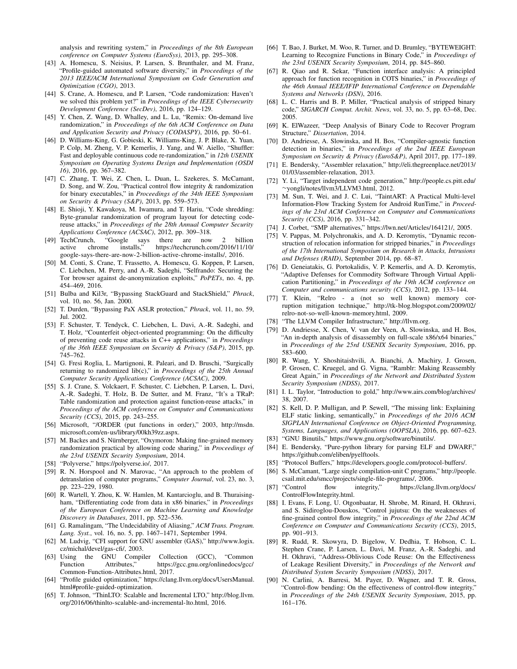analysis and rewriting system," in *Proceedings of the 8th European conference on Computer Systems (EuroSys)*, 2013, pp. 295–308.

- <span id="page-14-0"></span>[43] A. Homescu, S. Neisius, P. Larsen, S. Brunthaler, and M. Franz, "Profile-guided automated software diversity," in *Proceedings of the 2013 IEEE/ACM International Symposium on Code Generation and Optimization (CGO)*, 2013.
- <span id="page-14-1"></span>[44] S. Crane, A. Homescu, and P. Larsen, "Code randomization: Haven't we solved this problem yet?" in *Proceedings of the IEEE Cybersecurity Development Conference (SecDev)*, 2016, pp. 124–129.
- <span id="page-14-41"></span>[45] Y. Chen, Z. Wang, D. Whalley, and L. Lu, "Remix: On-demand live randomization," in *Proceedings of the 6th ACM Conference on Data and Application Security and Privacy (CODASPY)*, 2016, pp. 50–61.
- <span id="page-14-2"></span>[46] D. Williams-King, G. Gobieski, K. Williams-King, J. P. Blake, X. Yuan, P. Colp, M. Zheng, V. P. Kemerlis, J. Yang, and W. Aiello, "Shuffler: Fast and deployable continuous code re-randomization," in *12th USENIX Symposium on Operating Systems Design and Implementation (OSDI 16)*, 2016, pp. 367–382.
- <span id="page-14-3"></span>[47] C. Zhang, T. Wei, Z. Chen, L. Duan, L. Szekeres, S. McCamant, D. Song, and W. Zou, "Practical control flow integrity & randomization for binary executables," in *Proceedings of the 34th IEEE Symposium on Security & Privacy (S&P)*, 2013, pp. 559–573.
- <span id="page-14-4"></span>[48] E. Shioji, Y. Kawakoya, M. Iwamura, and T. Hariu, "Code shredding: Byte-granular randomization of program layout for detecting codereuse attacks," in *Proceedings of the 28th Annual Computer Security Applications Conference (ACSAC)*, 2012, pp. 309–318.
- <span id="page-14-5"></span>[49] TechCrunch, "Google says there are now 2 billion active chrome installs," https://techcrunch.com/2016/11/10/ active chrome installs," [https://techcrunch.com/2016/11/10/](https://techcrunch.com/2016/11/10/google-says-there-are-now-2-billion-active-chrome-installs/) [google-says-there-are-now-2-billion-active-chrome-installs/,](https://techcrunch.com/2016/11/10/google-says-there-are-now-2-billion-active-chrome-installs/) 2016.
- <span id="page-14-6"></span>[50] M. Conti, S. Crane, T. Frassetto, A. Homescu, G. Koppen, P. Larsen, C. Liebchen, M. Perry, and A.-R. Sadeghi, "Selfrando: Securing the Tor browser against de-anonymization exploits," *PoPETs*, no. 4, pp. 454–469, 2016.
- <span id="page-14-7"></span>[51] Bulba and Kil3r, "Bypassing StackGuard and StackShield," *Phrack*, vol. 10, no. 56, Jan. 2000.
- [52] T. Durden, "Bypassing PaX ASLR protection," *Phrack*, vol. 11, no. 59, Jul. 2002.
- <span id="page-14-38"></span>[53] F. Schuster, T. Tendyck, C. Liebchen, L. Davi, A.-R. Sadeghi, and T. Holz, "Counterfeit object-oriented programming: On the difficulty of preventing code reuse attacks in C++ applications," in *Proceedings of the 36th IEEE Symposium on Security & Privacy (S&P)*, 2015, pp. 745–762.
- [54] G. Fresi Roglia, L. Martignoni, R. Paleari, and D. Bruschi, "Surgically returning to randomized lib(c)," in *Proceedings of the 25th Annual Computer Security Applications Conference (ACSAC)*, 2009.
- <span id="page-14-8"></span>[55] S. J. Crane, S. Volckaert, F. Schuster, C. Liebchen, P. Larsen, L. Davi, A.-R. Sadeghi, T. Holz, B. De Sutter, and M. Franz, "It's a TRaP: Table randomization and protection against function-reuse attacks," in *Proceedings of the ACM conference on Computer and Communications Security (CCS)*, 2015, pp. 243–255.
- <span id="page-14-9"></span>[56] Microsoft, "/ORDER (put functions in order)," 2003, [http://msdn.](http://msdn.microsoft.com/en-us/library/00kh39zz.aspx) [microsoft.com/en-us/library/00kh39zz.aspx.](http://msdn.microsoft.com/en-us/library/00kh39zz.aspx)
- <span id="page-14-10"></span>[57] M. Backes and S. Nürnberger, "Oxymoron: Making fine-grained memory randomization practical by allowing code sharing," in *Proceedings of the 23rd USENIX Security Symposium*, 2014.
- <span id="page-14-11"></span>[58] "Polyverse," [https://polyverse.io/,](https://polyverse.io/) 2017.
- <span id="page-14-12"></span>[59] R. N. Horspool and N. Marovac, "An approach to the problem of detranslation of computer programs," *Computer Journal*, vol. 23, no. 3, pp. 223–229, 1980.
- [60] R. Wartell, Y. Zhou, K. W. Hamlen, M. Kantarcioglu, and B. Thuraisingham, "Differentiating code from data in x86 binaries," in *Proceedings of the European Conference on Machine Learning and Knowledge Discovery in Databases*, 2011, pp. 522–536.
- <span id="page-14-13"></span>[61] G. Ramalingam, "The Undecidability of Aliasing," *ACM Trans. Program. Lang. Syst.*, vol. 16, no. 5, pp. 1467–1471, September 1994.
- <span id="page-14-14"></span>[62] M. Ludvig, "CFI support for GNU assembler (GAS)," [http://www.logix.](http://www.logix.cz/michal/devel/gas-cfi/) [cz/michal/devel/gas-cfi/,](http://www.logix.cz/michal/devel/gas-cfi/) 2003.
- <span id="page-14-15"></span>[63] Using the GNU Compiler Collection (GCC), "Common Function Attributes," [https://gcc.gnu.org/onlinedocs/gcc/](https://gcc.gnu.org/onlinedocs/gcc/Common-Function-Attributes.html) [Common-Function-Attributes.html,](https://gcc.gnu.org/onlinedocs/gcc/Common-Function-Attributes.html) 2017.
- <span id="page-14-16"></span>[64] "Profile guided optimization," [https://clang.llvm.org/docs/UsersManual.](https://clang.llvm.org/docs/UsersManual.html#profile-guided-optimization) [html#profile-guided-optimization.](https://clang.llvm.org/docs/UsersManual.html#profile-guided-optimization)
- <span id="page-14-17"></span>[65] T. Johnson, "ThinLTO: Scalable and Incremental LTO," [http://blog.llvm.](http://blog.llvm.org/2016/06/thinlto-scalable-and-incremental-lto.html) [org/2016/06/thinlto-scalable-and-incremental-lto.html,](http://blog.llvm.org/2016/06/thinlto-scalable-and-incremental-lto.html) 2016.
- <span id="page-14-18"></span>[66] T. Bao, J. Burket, M. Woo, R. Turner, and D. Brumley, "BYTEWEIGHT: Learning to Recognize Functions in Binary Code," in *Proceedings of the 23rd USENIX Security Symposium*, 2014, pp. 845–860.
- <span id="page-14-19"></span>[67] R. Qiao and R. Sekar, "Function interface analysis: A principled approach for function recognition in COTS binaries," in *Proceedings of the 46th Annual IEEE/IFIP International Conference on Dependable Systems and Networks (DSN)*, 2016.
- <span id="page-14-20"></span>[68] L. C. Harris and B. P. Miller, "Practical analysis of stripped binary code," *SIGARCH Comput. Archit. News*, vol. 33, no. 5, pp. 63–68, Dec. 2005.
- [69] K. ElWazeer, "Deep Analysis of Binary Code to Recover Program Structure," *Dissertation*, 2014.
- <span id="page-14-21"></span>[70] D. Andriesse, A. Slowinska, and H. Bos, "Compiler-agnostic function detection in binaries," in *Proceedings of the 2nd IEEE European Symposium on Security & Privacy (EuroS&P)*, April 2017, pp. 177–189.
- <span id="page-14-22"></span>[71] E. Bendersky, "Assembler relaxation," [http://eli.thegreenplace.net/2013/](http://eli.thegreenplace.net/2013/01/03/assembler-relaxation) [01/03/assembler-relaxation,](http://eli.thegreenplace.net/2013/01/03/assembler-relaxation) 2013.
- <span id="page-14-23"></span>[72] Y. Li, "Target independent code generation," [http://people.cs.pitt.edu/](http://people.cs.pitt.edu/~yongli/notes/llvm3/LLVM3.html) ∼[yongli/notes/llvm3/LLVM3.html,](http://people.cs.pitt.edu/~yongli/notes/llvm3/LLVM3.html) 2012.
- <span id="page-14-24"></span>[73] M. Sun, T. Wei, and J. C. Lui, "TaintART: A Practical Multi-level Information-Flow Tracking System for Android RunTime," in *Proceedings of the 23rd ACM Conference on Computer and Communications Security (CCS)*, 2016, pp. 331–342.
- <span id="page-14-25"></span>[74] J. Corbet, "SMP alternatives," [https://lwn.net/Articles/164121/,](https://lwn.net/Articles/164121/) 2005.
- <span id="page-14-26"></span>[75] V. Pappas, M. Polychronakis, and A. D. Keromytis, "Dynamic reconstruction of relocation information for stripped binaries," in *Proceedings of the 17th International Symposium on Research in Attacks, Intrusions and Defenses (RAID)*, September 2014, pp. 68–87.
- <span id="page-14-27"></span>[76] D. Geneiatakis, G. Portokalidis, V. P. Kemerlis, and A. D. Keromytis, "Adaptive Defenses for Commodity Software Through Virtual Application Partitioning," in *Proceedings of the 19th ACM conference on Computer and communications security (CCS)*, 2012, pp. 133–144.
- <span id="page-14-28"></span>[77] T. Klein, "Relro - a (not so well known) memory corruption mitigation technique," [http://tk-blog.blogspot.com/2009/02/](http://tk-blog.blogspot.com/2009/02/relro-not-so-well-known-memory.html) [relro-not-so-well-known-memory.html,](http://tk-blog.blogspot.com/2009/02/relro-not-so-well-known-memory.html) 2009.
- <span id="page-14-29"></span>[78] "The LLVM Compiler Infrastructure," [http://llvm.org.](http://llvm.org)
- <span id="page-14-30"></span>[79] D. Andriesse, X. Chen, V. van der Veen, A. Slowinska, and H. Bos, "An in-depth analysis of disassembly on full-scale x86/x64 binaries," in *Proceedings of the 25rd USENIX Security Symposium*, 2016, pp. 583–600.
- <span id="page-14-31"></span>[80] R. Wang, Y. Shoshitaishvili, A. Bianchi, A. Machiry, J. Grosen, P. Grosen, C. Kruegel, and G. Vigna, "Ramblr: Making Reassembly Great Again," in *Proceedings of the Network and Distributed System Security Symposium (NDSS)*, 2017.
- <span id="page-14-32"></span>[81] I. L. Taylor, "Introduction to gold," [http://www.airs.com/blog/archives/](http://www.airs.com/blog/archives/38) [38,](http://www.airs.com/blog/archives/38) 2007.
- <span id="page-14-33"></span>[82] S. Kell, D. P. Mulligan, and P. Sewell, "The missing link: Explaining ELF static linking, semantically," in *Proceedings of the 2016 ACM SIGPLAN International Conference on Object-Oriented Programming, Systems, Languages, and Applications (OOPSLA)*, 2016, pp. 607–623.
- <span id="page-14-34"></span>[83] "GNU Binutils," [https://www.gnu.org/software/binutils/.](https://www.gnu.org/software/binutils/)
- <span id="page-14-35"></span>[84] E. Bendersky, "Pure-python library for parsing ELF and DWARF," [https://github.com/eliben/pyelftools.](https://github.com/eliben/pyelftools)
- <span id="page-14-36"></span>[85] "Protocol Buffers," [https://developers.google.com/protocol-buffers/.](https://developers.google.com/protocol-buffers/)
- <span id="page-14-37"></span>[86] S. McCamant, "Large single compilation-unit C programs," [http://people.](http://people.csail.mit.edu/smcc/projects/single-file-programs/) [csail.mit.edu/smcc/projects/single-file-programs/,](http://people.csail.mit.edu/smcc/projects/single-file-programs/) 2006.
- <span id="page-14-39"></span>[87] "Control flow integrity," [https://clang.llvm.org/docs/](https://clang.llvm.org/docs/ControlFlowIntegrity.html) [ControlFlowIntegrity.html.](https://clang.llvm.org/docs/ControlFlowIntegrity.html)
- <span id="page-14-40"></span>[88] I. Evans, F. Long, U. Otgonbaatar, H. Shrobe, M. Rinard, H. Okhravi, and S. Sidiroglou-Douskos, "Control jujutsu: On the weaknesses of fine-grained control flow integrity," in *Proceedings of the 22nd ACM Conference on Computer and Communications Security (CCS)*, 2015, pp. 901–913.
- <span id="page-14-42"></span>[89] R. Rudd, R. Skowyra, D. Bigelow, V. Dedhia, T. Hobson, C. L. Stephen Crane, P. Larsen, L. Davi, M. Franz, A.-R. Sadeghi, and H. Okhravi, "Address-Oblivious Code Reuse: On the Effectiveness of Leakage Resilient Diversity," in *Proceedings of the Network and Distributed System Security Symposium (NDSS)*, 2017.
- [90] N. Carlini, A. Barresi, M. Payer, D. Wagner, and T. R. Gross, "Control-flow bending: On the effectiveness of control-flow integrity," in *Proceedings of the 24th USENIX Security Symposium*, 2015, pp. 161–176.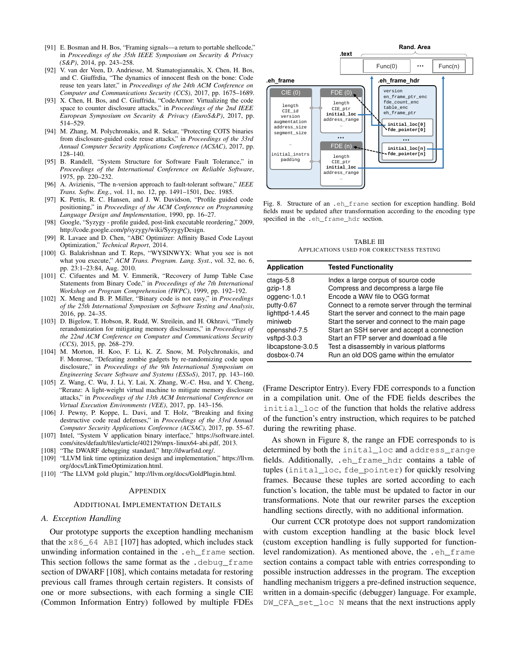- [91] E. Bosman and H. Bos, "Framing signals—a return to portable shellcode," in *Proceedings of the 35th IEEE Symposium on Security & Privacy (S&P)*, 2014, pp. 243–258.
- <span id="page-15-1"></span>[92] V. van der Veen, D. Andriesse, M. Stamatogiannakis, X. Chen, H. Bos, and C. Giuffrdia, "The dynamics of innocent flesh on the bone: Code reuse ten years later," in *Proceedings of the 24th ACM Conference on Computer and Communications Security (CCS)*, 2017, pp. 1675–1689.
- <span id="page-15-2"></span>[93] X. Chen, H. Bos, and C. Giuffrida, "CodeArmor: Virtualizing the code space to counter disclosure attacks," in *Proceedings of the 2nd IEEE European Symposium on Security & Privacy (EuroS&P)*, 2017, pp. 514–529.
- <span id="page-15-3"></span>[94] M. Zhang, M. Polychronakis, and R. Sekar, "Protecting COTS binaries from disclosure-guided code reuse attacks," in *Proceedings of the 33rd Annual Computer Security Applications Conference (ACSAC)*, 2017, pp. 128–140.
- <span id="page-15-4"></span>[95] B. Randell, "System Structure for Software Fault Tolerance," in *Proceedings of the International Conference on Reliable Software*, 1975, pp. 220–232.
- <span id="page-15-5"></span>[96] A. Avizienis, "The n-version approach to fault-tolerant software," *IEEE Trans. Softw. Eng.*, vol. 11, no. 12, pp. 1491–1501, Dec. 1985.
- <span id="page-15-6"></span>[97] K. Pettis, R. C. Hansen, and J. W. Davidson, "Profile guided code positioning," in *Proceedings of the ACM Conference on Programming Language Design and Implementation*, 1990, pp. 16–27.
- [98] Google, "Syzygy profile guided, post-link executable reordering," 2009, [http://code.google.com/p/syzygy/wiki/SyzygyDesign.](http://code.google.com/p/syzygy/wiki/SyzygyDesign)
- <span id="page-15-7"></span>[99] R. Lavaee and D. Chen, "ABC Optimizer: Affinity Based Code Layout Optimization," *Technical Report*, 2014.
- <span id="page-15-8"></span>[100] G. Balakrishnan and T. Reps, "WYSINWYX: What you see is not what you execute," *ACM Trans. Program. Lang. Syst.*, vol. 32, no. 6, pp. 23:1–23:84, Aug. 2010.
- [101] C. Cifuentes and M. V. Emmerik, "Recovery of Jump Table Case Statements from Binary Code," in *Proceedings of the 7th International Workshop on Program Comprehension (IWPC)*, 1999, pp. 192–192.
- <span id="page-15-9"></span>[102] X. Meng and B. P. Miller, "Binary code is not easy," in *Proceedings of the 25th International Symposium on Software Testing and Analysis*, 2016, pp. 24–35.
- <span id="page-15-10"></span>[103] D. Bigelow, T. Hobson, R. Rudd, W. Streilein, and H. Okhravi, "Timely rerandomization for mitigating memory disclosures," in *Proceedings of the 22nd ACM Conference on Computer and Communications Security (CCS)*, 2015, pp. 268–279.
- [104] M. Morton, H. Koo, F. Li, K. Z. Snow, M. Polychronakis, and F. Monrose, "Defeating zombie gadgets by re-randomizing code upon disclosure," in *Proceedings of the 9th International Symposium on Engineering Secure Software and Systems (ESSoS)*, 2017, pp. 143–160.
- <span id="page-15-11"></span>[105] Z. Wang, C. Wu, J. Li, Y. Lai, X. Zhang, W.-C. Hsu, and Y. Cheng, "Reranz: A light-weight virtual machine to mitigate memory disclosure attacks," in *Proceedings of the 13th ACM International Conference on Virtual Execution Environments (VEE)*, 2017, pp. 143–156.
- <span id="page-15-12"></span>[106] J. Pewny, P. Koppe, L. Davi, and T. Holz, "Breaking and fixing destructive code read defenses," in *Proceedings of the 33rd Annual Computer Security Applications Conference (ACSAC)*, 2017, pp. 55–67.
- <span id="page-15-13"></span>[107] Intel, "System V application binary interface," [https://software.intel.](https://software.intel.com/sites/default/files/article/402129/mpx-linux64-abi.pdf) [com/sites/default/files/article/402129/mpx-linux64-abi.pdf,](https://software.intel.com/sites/default/files/article/402129/mpx-linux64-abi.pdf) 2013.
- <span id="page-15-14"></span>[108] "The DWARF debugging standard," [http://dwarfstd.org/.](http://dwarfstd.org/)
- <span id="page-15-16"></span>[109] "LLVM link time optimization design and implementation," [https://llvm.](https://llvm.org/docs/LinkTimeOptimization.html) [org/docs/LinkTimeOptimization.html.](https://llvm.org/docs/LinkTimeOptimization.html)
- <span id="page-15-17"></span>[110] "The LLVM gold plugin," [http://llvm.org/docs/GoldPlugin.html.](http://llvm.org/docs/GoldPlugin.html)

#### **APPENDIX**

#### ADDITIONAL IMPLEMENTATION DETAILS

#### *A. Exception Handling*

Our prototype supports the exception handling mechanism that the  $x86_64$  ABI [\[107\]](#page-15-13) has adopted, which includes stack unwinding information contained in the .eh\_frame section. This section follows the same format as the .debug\_frame section of DWARF [\[108\]](#page-15-14), which contains metadata for restoring previous call frames through certain registers. It consists of one or more subsections, with each forming a single CIE (Common Information Entry) followed by multiple FDEs



<span id="page-15-15"></span>Fig. 8. Structure of an .eh\_frame section for exception handling. Bold fields must be updated after transformation according to the encoding type specified in the .eh\_frame\_hdr section.

TABLE III APPLICATIONS USED FOR CORRECTNESS TESTING

<span id="page-15-0"></span>

| <b>Application</b>                                                                                                                                | <b>Tested Functionality</b>                                                                                                                                                                                                                                                                                                                                                                              |
|---------------------------------------------------------------------------------------------------------------------------------------------------|----------------------------------------------------------------------------------------------------------------------------------------------------------------------------------------------------------------------------------------------------------------------------------------------------------------------------------------------------------------------------------------------------------|
| $ctags-5.8$<br>$gz$ ip-1.8<br>oggenc-1.0.1<br>putty-0.67<br>lighttpd-1.4.45<br>miniweb<br>opensshd-7.5<br>$v$ sftpd- $3.0.3$<br>libcapstone-3.0.5 | Index a large corpus of source code<br>Compress and decompress a large file<br>Encode a WAV file to OGG format<br>Connect to a remote server through the terminal<br>Start the server and connect to the main page<br>Start the server and connect to the main page<br>Start an SSH server and accept a connection<br>Start an FTP server and download a file<br>Test a disassembly in various platforms |
| dosbox-0.74                                                                                                                                       | Run an old DOS game within the emulator                                                                                                                                                                                                                                                                                                                                                                  |

(Frame Descriptor Entry). Every FDE corresponds to a function in a compilation unit. One of the FDE fields describes the initial\_loc of the function that holds the relative address of the function's entry instruction, which requires to be patched during the rewriting phase.

As shown in Figure [8,](#page-15-15) the range an FDE corresponds to is determined by both the inital\_loc and address\_range fields. Additionally, .eh\_frame\_hdr contains a table of tuples (inital\_loc, fde\_pointer) for quickly resolving frames. Because these tuples are sorted according to each function's location, the table must be updated to factor in our transformations. Note that our rewriter parses the exception handling sections directly, with no additional information.

Our current CCR prototype does not support randomization with custom exception handling at the basic block level (custom exception handling is fully supported for functionlevel randomization). As mentioned above, the .eh\_frame section contains a compact table with entries corresponding to possible instruction addresses in the program. The exception handling mechanism triggers a pre-defined instruction sequence, written in a domain-specific (debugger) language. For example, DW\_CFA\_set\_loc N means that the next instructions apply